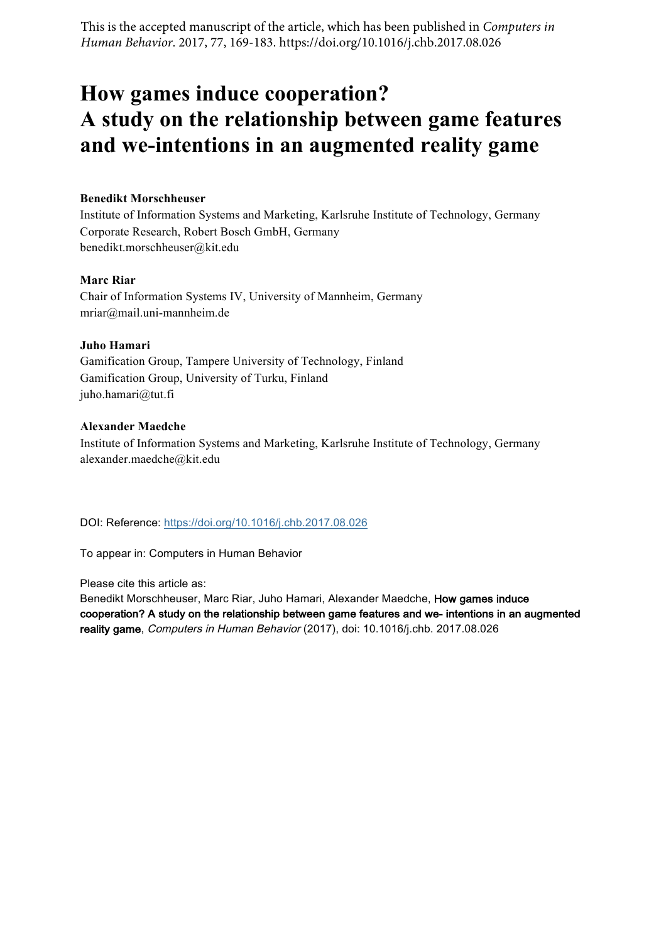This is the accepted manuscript of the article, which has been published in *Computers in Human Behavior*. 2017, 77, 169-183. https://doi.org/10.1016/j.chb.2017.08.026

# **How games induce cooperation? A study on the relationship between game features and we-intentions in an augmented reality game**

#### **Benedikt Morschheuser**

Institute of Information Systems and Marketing, Karlsruhe Institute of Technology, Germany Corporate Research, Robert Bosch GmbH, Germany benedikt.morschheuser@kit.edu

#### **Marc Riar**

Chair of Information Systems IV, University of Mannheim, Germany mriar@mail.uni-mannheim.de

#### **Juho Hamari**

Gamification Group, Tampere University of Technology, Finland Gamification Group, University of Turku, Finland juho.hamari@tut.fi

#### **Alexander Maedche**

Institute of Information Systems and Marketing, Karlsruhe Institute of Technology, Germany alexander.maedche@kit.edu

DOI: Reference: https://doi.org/10.1016/j.chb.2017.08.026

To appear in: Computers in Human Behavior

Please cite this article as:

Benedikt Morschheuser, Marc Riar, Juho Hamari, Alexander Maedche, How games induce cooperation? A study on the relationship between game features and we- intentions in an augmented reality game, Computers in Human Behavior (2017), doi: 10.1016/j.chb. 2017.08.026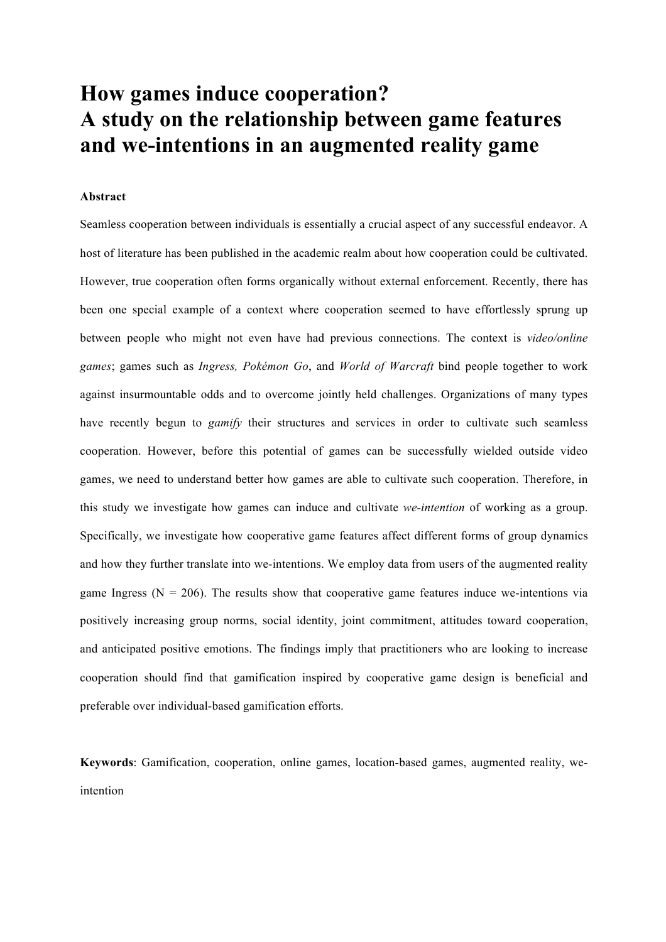# **How games induce cooperation? A study on the relationship between game features and we-intentions in an augmented reality game**

#### **Abstract**

Seamless cooperation between individuals is essentially a crucial aspect of any successful endeavor. A host of literature has been published in the academic realm about how cooperation could be cultivated. However, true cooperation often forms organically without external enforcement. Recently, there has been one special example of a context where cooperation seemed to have effortlessly sprung up between people who might not even have had previous connections. The context is *video/online games*; games such as *Ingress, Pokémon Go*, and *World of Warcraft* bind people together to work against insurmountable odds and to overcome jointly held challenges. Organizations of many types have recently begun to *gamify* their structures and services in order to cultivate such seamless cooperation. However, before this potential of games can be successfully wielded outside video games, we need to understand better how games are able to cultivate such cooperation. Therefore, in this study we investigate how games can induce and cultivate *we-intention* of working as a group. Specifically, we investigate how cooperative game features affect different forms of group dynamics and how they further translate into we-intentions. We employ data from users of the augmented reality game Ingress ( $N = 206$ ). The results show that cooperative game features induce we-intentions via positively increasing group norms, social identity, joint commitment, attitudes toward cooperation, and anticipated positive emotions. The findings imply that practitioners who are looking to increase cooperation should find that gamification inspired by cooperative game design is beneficial and preferable over individual-based gamification efforts.

**Keywords**: Gamification, cooperation, online games, location-based games, augmented reality, weintention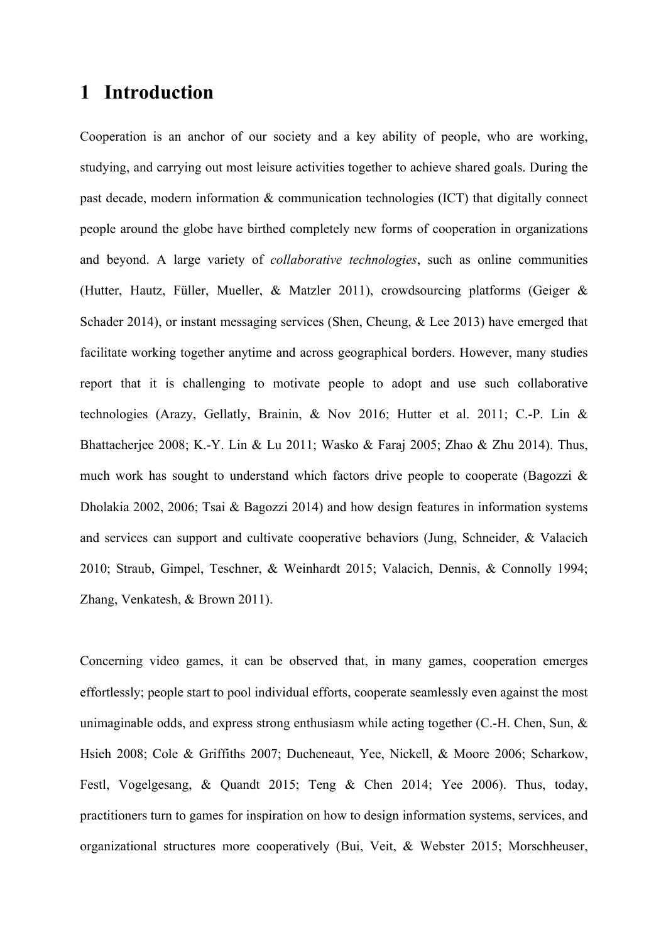## **1 Introduction**

Cooperation is an anchor of our society and a key ability of people, who are working, studying, and carrying out most leisure activities together to achieve shared goals. During the past decade, modern information & communication technologies (ICT) that digitally connect people around the globe have birthed completely new forms of cooperation in organizations and beyond. A large variety of *collaborative technologies*, such as online communities (Hutter, Hautz, Füller, Mueller, & Matzler 2011), crowdsourcing platforms (Geiger & Schader 2014), or instant messaging services (Shen, Cheung, & Lee 2013) have emerged that facilitate working together anytime and across geographical borders. However, many studies report that it is challenging to motivate people to adopt and use such collaborative technologies (Arazy, Gellatly, Brainin, & Nov 2016; Hutter et al. 2011; C.-P. Lin & Bhattacherjee 2008; K.-Y. Lin & Lu 2011; Wasko & Faraj 2005; Zhao & Zhu 2014). Thus, much work has sought to understand which factors drive people to cooperate (Bagozzi  $\&$ Dholakia 2002, 2006; Tsai & Bagozzi 2014) and how design features in information systems and services can support and cultivate cooperative behaviors (Jung, Schneider, & Valacich 2010; Straub, Gimpel, Teschner, & Weinhardt 2015; Valacich, Dennis, & Connolly 1994; Zhang, Venkatesh, & Brown 2011).

Concerning video games, it can be observed that, in many games, cooperation emerges effortlessly; people start to pool individual efforts, cooperate seamlessly even against the most unimaginable odds, and express strong enthusiasm while acting together  $(C.-H)$ . Chen, Sun,  $\&$ Hsieh 2008; Cole & Griffiths 2007; Ducheneaut, Yee, Nickell, & Moore 2006; Scharkow, Festl, Vogelgesang, & Quandt 2015; Teng & Chen 2014; Yee 2006). Thus, today, practitioners turn to games for inspiration on how to design information systems, services, and organizational structures more cooperatively (Bui, Veit, & Webster 2015; Morschheuser,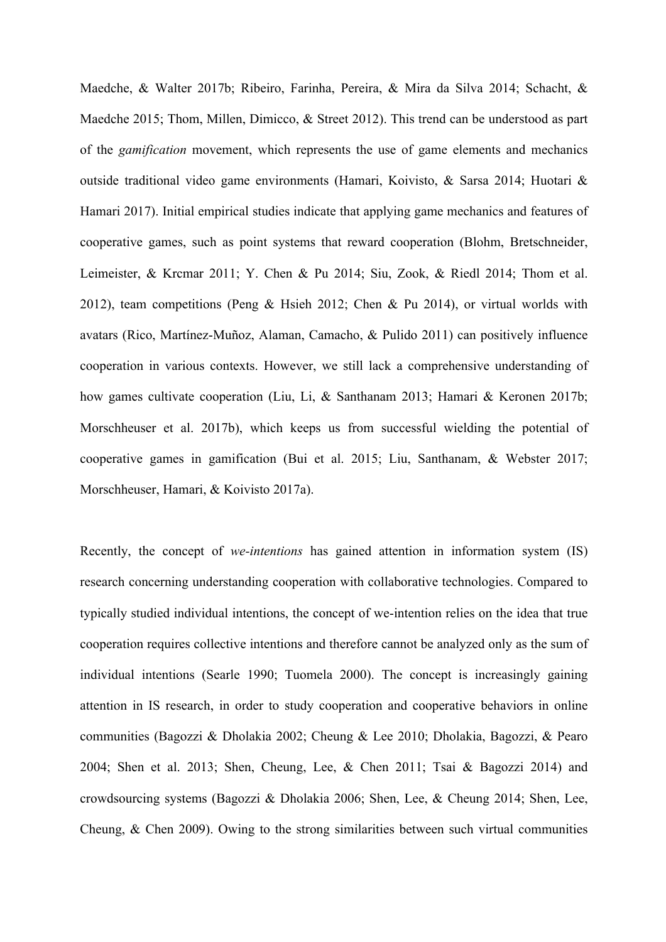Maedche, & Walter 2017b; Ribeiro, Farinha, Pereira, & Mira da Silva 2014; Schacht, & Maedche 2015; Thom, Millen, Dimicco, & Street 2012). This trend can be understood as part of the *gamification* movement, which represents the use of game elements and mechanics outside traditional video game environments (Hamari, Koivisto, & Sarsa 2014; Huotari & Hamari 2017). Initial empirical studies indicate that applying game mechanics and features of cooperative games, such as point systems that reward cooperation (Blohm, Bretschneider, Leimeister, & Krcmar 2011; Y. Chen & Pu 2014; Siu, Zook, & Riedl 2014; Thom et al. 2012), team competitions (Peng & Hsieh 2012; Chen & Pu 2014), or virtual worlds with avatars (Rico, Martínez-Muñoz, Alaman, Camacho, & Pulido 2011) can positively influence cooperation in various contexts. However, we still lack a comprehensive understanding of how games cultivate cooperation (Liu, Li, & Santhanam 2013; Hamari & Keronen 2017b; Morschheuser et al. 2017b), which keeps us from successful wielding the potential of cooperative games in gamification (Bui et al. 2015; Liu, Santhanam, & Webster 2017; Morschheuser, Hamari, & Koivisto 2017a).

Recently, the concept of *we-intentions* has gained attention in information system (IS) research concerning understanding cooperation with collaborative technologies. Compared to typically studied individual intentions, the concept of we-intention relies on the idea that true cooperation requires collective intentions and therefore cannot be analyzed only as the sum of individual intentions (Searle 1990; Tuomela 2000). The concept is increasingly gaining attention in IS research, in order to study cooperation and cooperative behaviors in online communities (Bagozzi & Dholakia 2002; Cheung & Lee 2010; Dholakia, Bagozzi, & Pearo 2004; Shen et al. 2013; Shen, Cheung, Lee, & Chen 2011; Tsai & Bagozzi 2014) and crowdsourcing systems (Bagozzi & Dholakia 2006; Shen, Lee, & Cheung 2014; Shen, Lee, Cheung, & Chen 2009). Owing to the strong similarities between such virtual communities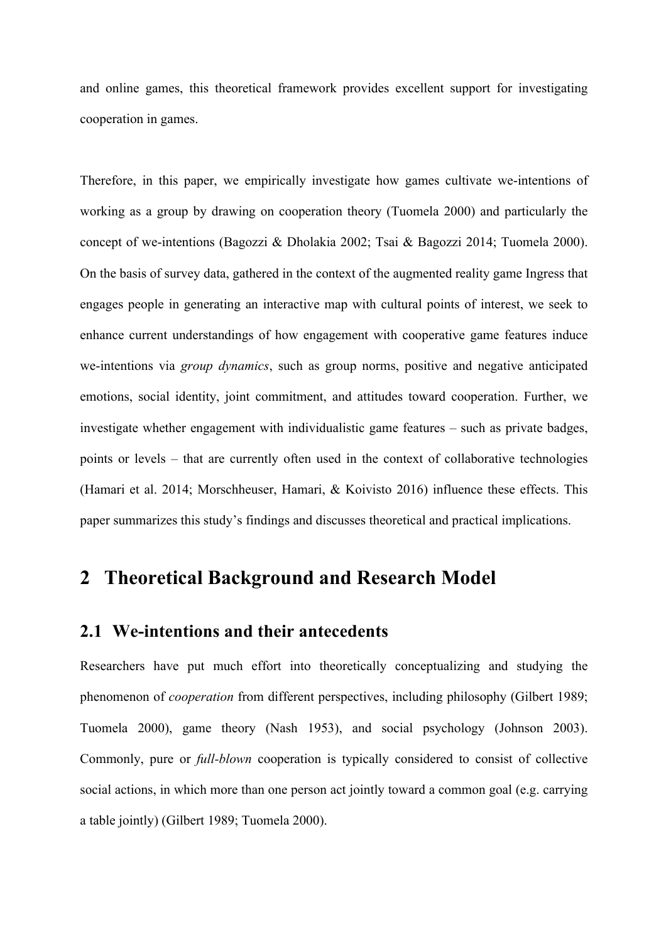and online games, this theoretical framework provides excellent support for investigating cooperation in games.

Therefore, in this paper, we empirically investigate how games cultivate we-intentions of working as a group by drawing on cooperation theory (Tuomela 2000) and particularly the concept of we-intentions (Bagozzi & Dholakia 2002; Tsai & Bagozzi 2014; Tuomela 2000). On the basis of survey data, gathered in the context of the augmented reality game Ingress that engages people in generating an interactive map with cultural points of interest, we seek to enhance current understandings of how engagement with cooperative game features induce we-intentions via *group dynamics*, such as group norms, positive and negative anticipated emotions, social identity, joint commitment, and attitudes toward cooperation. Further, we investigate whether engagement with individualistic game features – such as private badges, points or levels – that are currently often used in the context of collaborative technologies (Hamari et al. 2014; Morschheuser, Hamari, & Koivisto 2016) influence these effects. This paper summarizes this study's findings and discusses theoretical and practical implications.

## **2 Theoretical Background and Research Model**

#### **2.1 We-intentions and their antecedents**

Researchers have put much effort into theoretically conceptualizing and studying the phenomenon of *cooperation* from different perspectives, including philosophy (Gilbert 1989; Tuomela 2000), game theory (Nash 1953), and social psychology (Johnson 2003). Commonly, pure or *full-blown* cooperation is typically considered to consist of collective social actions, in which more than one person act jointly toward a common goal (e.g. carrying a table jointly) (Gilbert 1989; Tuomela 2000).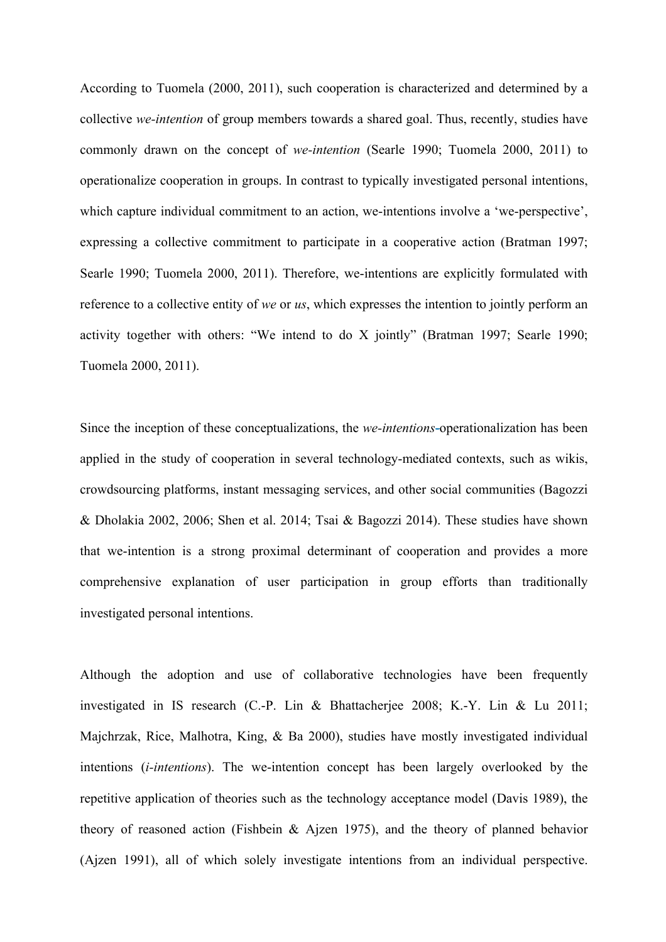According to Tuomela (2000, 2011), such cooperation is characterized and determined by a collective *we-intention* of group members towards a shared goal. Thus, recently, studies have commonly drawn on the concept of *we-intention* (Searle 1990; Tuomela 2000, 2011) to operationalize cooperation in groups. In contrast to typically investigated personal intentions, which capture individual commitment to an action, we-intentions involve a 'we-perspective', expressing a collective commitment to participate in a cooperative action (Bratman 1997; Searle 1990; Tuomela 2000, 2011). Therefore, we-intentions are explicitly formulated with reference to a collective entity of *we* or *us*, which expresses the intention to jointly perform an activity together with others: "We intend to do X jointly" (Bratman 1997; Searle 1990; Tuomela 2000, 2011).

Since the inception of these conceptualizations, the *we-intentions*-operationalization has been applied in the study of cooperation in several technology-mediated contexts, such as wikis, crowdsourcing platforms, instant messaging services, and other social communities (Bagozzi & Dholakia 2002, 2006; Shen et al. 2014; Tsai & Bagozzi 2014). These studies have shown that we-intention is a strong proximal determinant of cooperation and provides a more comprehensive explanation of user participation in group efforts than traditionally investigated personal intentions.

Although the adoption and use of collaborative technologies have been frequently investigated in IS research (C.-P. Lin & Bhattacherjee 2008; K.-Y. Lin & Lu 2011; Majchrzak, Rice, Malhotra, King, & Ba 2000), studies have mostly investigated individual intentions (*i-intentions*). The we-intention concept has been largely overlooked by the repetitive application of theories such as the technology acceptance model (Davis 1989), the theory of reasoned action (Fishbein & Ajzen 1975), and the theory of planned behavior (Ajzen 1991), all of which solely investigate intentions from an individual perspective.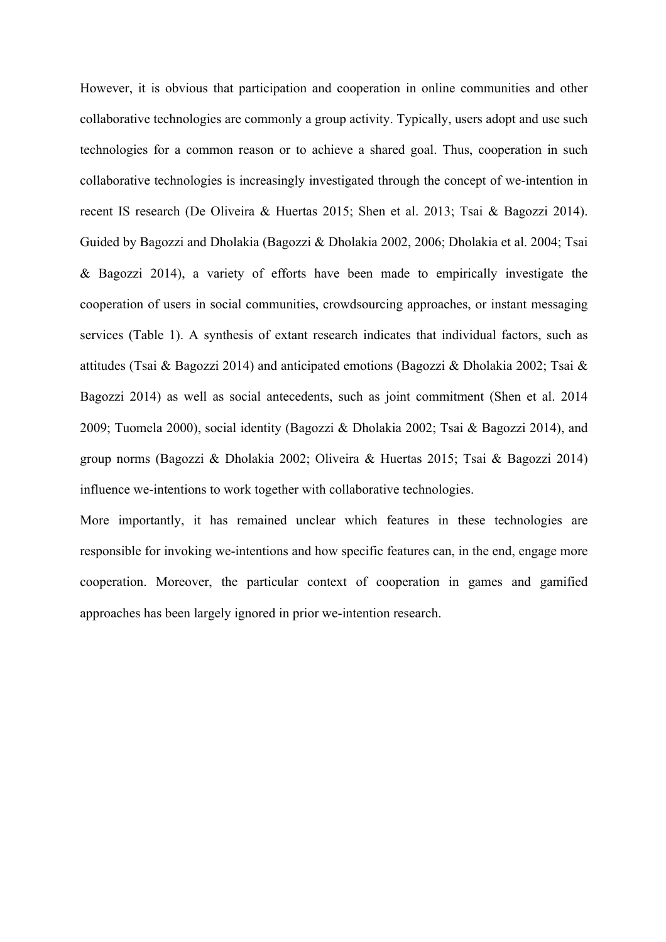However, it is obvious that participation and cooperation in online communities and other collaborative technologies are commonly a group activity. Typically, users adopt and use such technologies for a common reason or to achieve a shared goal. Thus, cooperation in such collaborative technologies is increasingly investigated through the concept of we-intention in recent IS research (De Oliveira & Huertas 2015; Shen et al. 2013; Tsai & Bagozzi 2014). Guided by Bagozzi and Dholakia (Bagozzi & Dholakia 2002, 2006; Dholakia et al. 2004; Tsai & Bagozzi 2014), a variety of efforts have been made to empirically investigate the cooperation of users in social communities, crowdsourcing approaches, or instant messaging services (Table 1). A synthesis of extant research indicates that individual factors, such as attitudes (Tsai & Bagozzi 2014) and anticipated emotions (Bagozzi & Dholakia 2002; Tsai & Bagozzi 2014) as well as social antecedents, such as joint commitment (Shen et al. 2014 2009; Tuomela 2000), social identity (Bagozzi & Dholakia 2002; Tsai & Bagozzi 2014), and group norms (Bagozzi & Dholakia 2002; Oliveira & Huertas 2015; Tsai & Bagozzi 2014) influence we-intentions to work together with collaborative technologies.

More importantly, it has remained unclear which features in these technologies are responsible for invoking we-intentions and how specific features can, in the end, engage more cooperation. Moreover, the particular context of cooperation in games and gamified approaches has been largely ignored in prior we-intention research.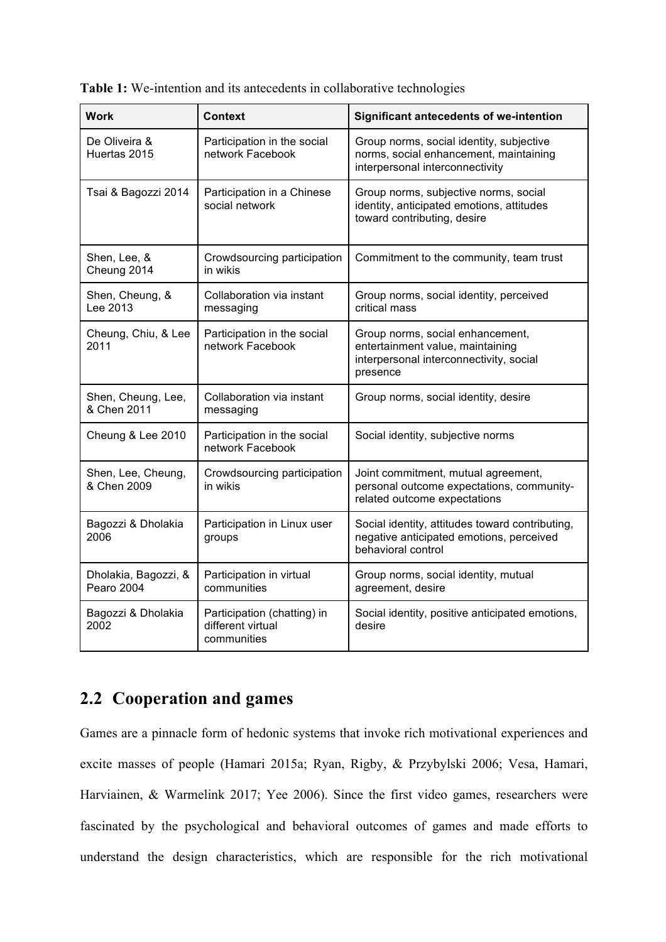|  |  |  |  |  |  |  | <b>Table 1:</b> We-intention and its antecedents in collaborative technologies |
|--|--|--|--|--|--|--|--------------------------------------------------------------------------------|
|--|--|--|--|--|--|--|--------------------------------------------------------------------------------|

| <b>Work</b>                        | Context                                                         | <b>Significant antecedents of we-intention</b>                                                                              |
|------------------------------------|-----------------------------------------------------------------|-----------------------------------------------------------------------------------------------------------------------------|
| De Oliveira &<br>Huertas 2015      | Participation in the social<br>network Facebook                 | Group norms, social identity, subjective<br>norms, social enhancement, maintaining<br>interpersonal interconnectivity       |
| Tsai & Bagozzi 2014                | Participation in a Chinese<br>social network                    | Group norms, subjective norms, social<br>identity, anticipated emotions, attitudes<br>toward contributing, desire           |
| Shen, Lee, &<br>Cheung 2014        | Crowdsourcing participation<br>in wikis                         | Commitment to the community, team trust                                                                                     |
| Shen, Cheung, &<br>Lee 2013        | Collaboration via instant<br>messaging                          | Group norms, social identity, perceived<br>critical mass                                                                    |
| Cheung, Chiu, & Lee<br>2011        | Participation in the social<br>network Facebook                 | Group norms, social enhancement,<br>entertainment value, maintaining<br>interpersonal interconnectivity, social<br>presence |
| Shen, Cheung, Lee,<br>& Chen 2011  | Collaboration via instant<br>messaging                          | Group norms, social identity, desire                                                                                        |
| Cheung & Lee 2010                  | Participation in the social<br>network Facebook                 | Social identity, subjective norms                                                                                           |
| Shen, Lee, Cheung,<br>& Chen 2009  | Crowdsourcing participation<br>in wikis                         | Joint commitment, mutual agreement,<br>personal outcome expectations, community-<br>related outcome expectations            |
| Bagozzi & Dholakia<br>2006         | Participation in Linux user<br>groups                           | Social identity, attitudes toward contributing,<br>negative anticipated emotions, perceived<br>behavioral control           |
| Dholakia, Bagozzi, &<br>Pearo 2004 | Participation in virtual<br>communities                         | Group norms, social identity, mutual<br>agreement, desire                                                                   |
| Bagozzi & Dholakia<br>2002         | Participation (chatting) in<br>different virtual<br>communities | Social identity, positive anticipated emotions,<br>desire                                                                   |

## **2.2 Cooperation and games**

Games are a pinnacle form of hedonic systems that invoke rich motivational experiences and excite masses of people (Hamari 2015a; Ryan, Rigby, & Przybylski 2006; Vesa, Hamari, Harviainen, & Warmelink 2017; Yee 2006). Since the first video games, researchers were fascinated by the psychological and behavioral outcomes of games and made efforts to understand the design characteristics, which are responsible for the rich motivational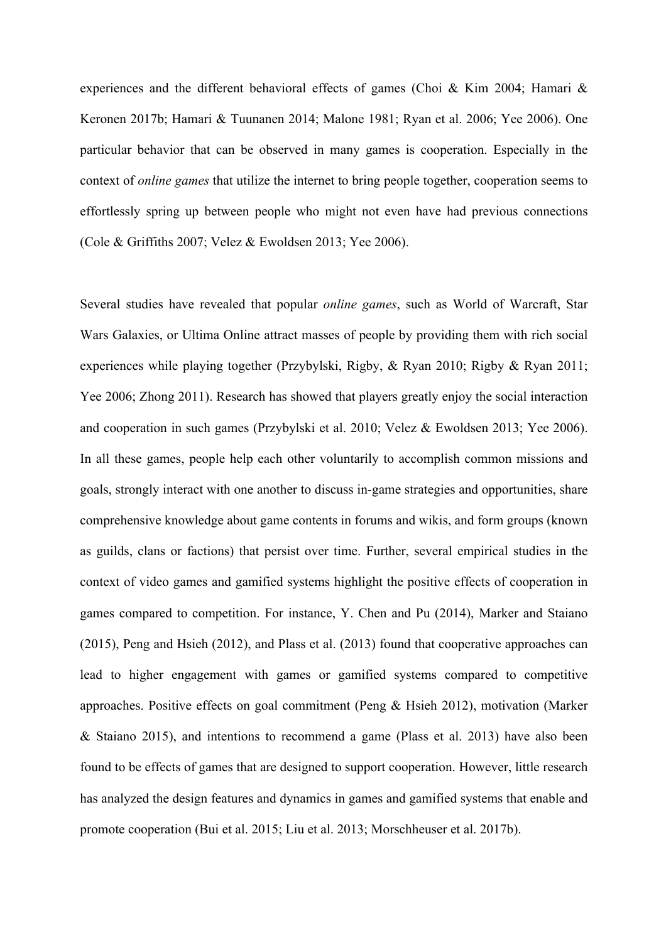experiences and the different behavioral effects of games (Choi & Kim 2004; Hamari & Keronen 2017b; Hamari & Tuunanen 2014; Malone 1981; Ryan et al. 2006; Yee 2006). One particular behavior that can be observed in many games is cooperation. Especially in the context of *online games* that utilize the internet to bring people together, cooperation seems to effortlessly spring up between people who might not even have had previous connections (Cole & Griffiths 2007; Velez & Ewoldsen 2013; Yee 2006).

Several studies have revealed that popular *online games*, such as World of Warcraft, Star Wars Galaxies, or Ultima Online attract masses of people by providing them with rich social experiences while playing together (Przybylski, Rigby, & Ryan 2010; Rigby & Ryan 2011; Yee 2006; Zhong 2011). Research has showed that players greatly enjoy the social interaction and cooperation in such games (Przybylski et al. 2010; Velez & Ewoldsen 2013; Yee 2006). In all these games, people help each other voluntarily to accomplish common missions and goals, strongly interact with one another to discuss in-game strategies and opportunities, share comprehensive knowledge about game contents in forums and wikis, and form groups (known as guilds, clans or factions) that persist over time. Further, several empirical studies in the context of video games and gamified systems highlight the positive effects of cooperation in games compared to competition. For instance, Y. Chen and Pu (2014), Marker and Staiano (2015), Peng and Hsieh (2012), and Plass et al. (2013) found that cooperative approaches can lead to higher engagement with games or gamified systems compared to competitive approaches. Positive effects on goal commitment (Peng & Hsieh 2012), motivation (Marker & Staiano 2015), and intentions to recommend a game (Plass et al. 2013) have also been found to be effects of games that are designed to support cooperation. However, little research has analyzed the design features and dynamics in games and gamified systems that enable and promote cooperation (Bui et al. 2015; Liu et al. 2013; Morschheuser et al. 2017b).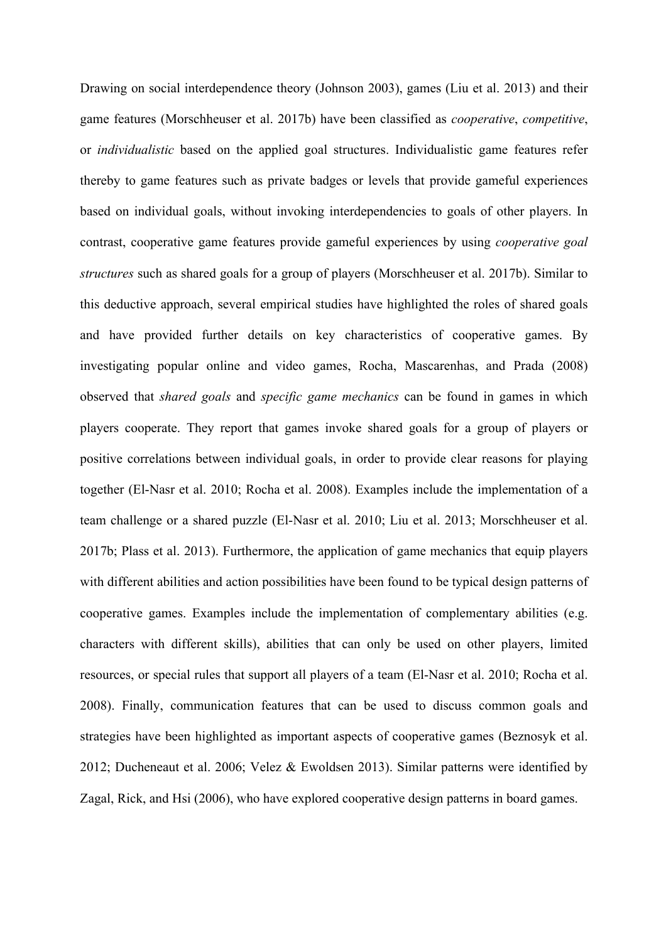Drawing on social interdependence theory (Johnson 2003), games (Liu et al. 2013) and their game features (Morschheuser et al. 2017b) have been classified as *cooperative*, *competitive*, or *individualistic* based on the applied goal structures. Individualistic game features refer thereby to game features such as private badges or levels that provide gameful experiences based on individual goals, without invoking interdependencies to goals of other players. In contrast, cooperative game features provide gameful experiences by using *cooperative goal structures* such as shared goals for a group of players (Morschheuser et al. 2017b). Similar to this deductive approach, several empirical studies have highlighted the roles of shared goals and have provided further details on key characteristics of cooperative games. By investigating popular online and video games, Rocha, Mascarenhas, and Prada (2008) observed that *shared goals* and *specific game mechanics* can be found in games in which players cooperate. They report that games invoke shared goals for a group of players or positive correlations between individual goals, in order to provide clear reasons for playing together (El-Nasr et al. 2010; Rocha et al. 2008). Examples include the implementation of a team challenge or a shared puzzle (El-Nasr et al. 2010; Liu et al. 2013; Morschheuser et al. 2017b; Plass et al. 2013). Furthermore, the application of game mechanics that equip players with different abilities and action possibilities have been found to be typical design patterns of cooperative games. Examples include the implementation of complementary abilities (e.g. characters with different skills), abilities that can only be used on other players, limited resources, or special rules that support all players of a team (El-Nasr et al. 2010; Rocha et al. 2008). Finally, communication features that can be used to discuss common goals and strategies have been highlighted as important aspects of cooperative games (Beznosyk et al. 2012; Ducheneaut et al. 2006; Velez & Ewoldsen 2013). Similar patterns were identified by Zagal, Rick, and Hsi (2006), who have explored cooperative design patterns in board games.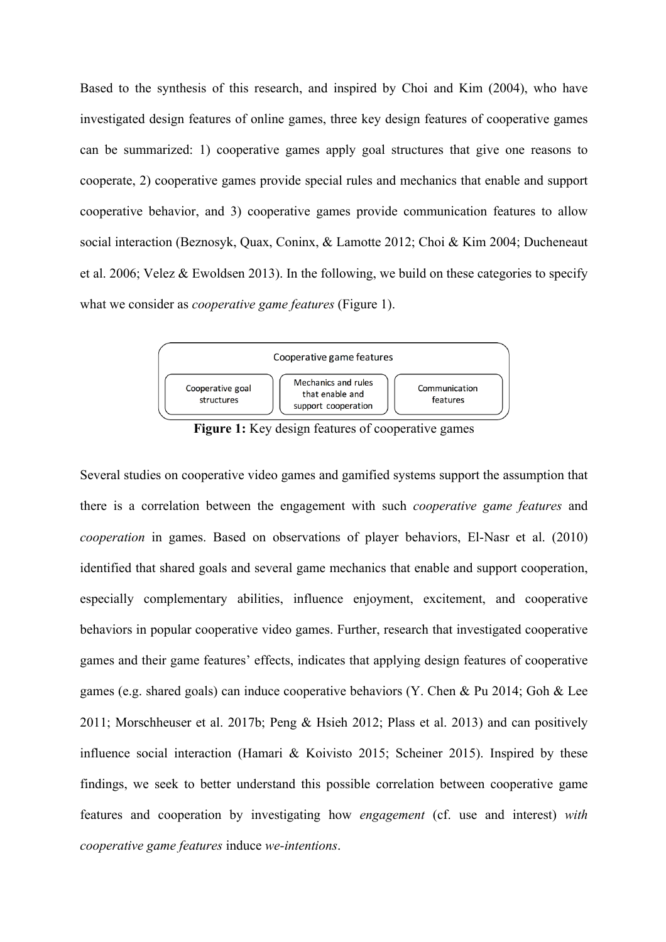Based to the synthesis of this research, and inspired by Choi and Kim (2004), who have investigated design features of online games, three key design features of cooperative games can be summarized: 1) cooperative games apply goal structures that give one reasons to cooperate, 2) cooperative games provide special rules and mechanics that enable and support cooperative behavior, and 3) cooperative games provide communication features to allow social interaction (Beznosyk, Quax, Coninx, & Lamotte 2012; Choi & Kim 2004; Ducheneaut et al. 2006; Velez & Ewoldsen 2013). In the following, we build on these categories to specify what we consider as *cooperative game features* (Figure 1).



Figure 1: Key design features of cooperative games

Several studies on cooperative video games and gamified systems support the assumption that there is a correlation between the engagement with such *cooperative game features* and *cooperation* in games. Based on observations of player behaviors, El-Nasr et al. (2010) identified that shared goals and several game mechanics that enable and support cooperation, especially complementary abilities, influence enjoyment, excitement, and cooperative behaviors in popular cooperative video games. Further, research that investigated cooperative games and their game features' effects, indicates that applying design features of cooperative games (e.g. shared goals) can induce cooperative behaviors (Y. Chen & Pu 2014; Goh & Lee 2011; Morschheuser et al. 2017b; Peng & Hsieh 2012; Plass et al. 2013) and can positively influence social interaction (Hamari & Koivisto 2015; Scheiner 2015). Inspired by these findings, we seek to better understand this possible correlation between cooperative game features and cooperation by investigating how *engagement* (cf. use and interest) *with cooperative game features* induce *we-intentions*.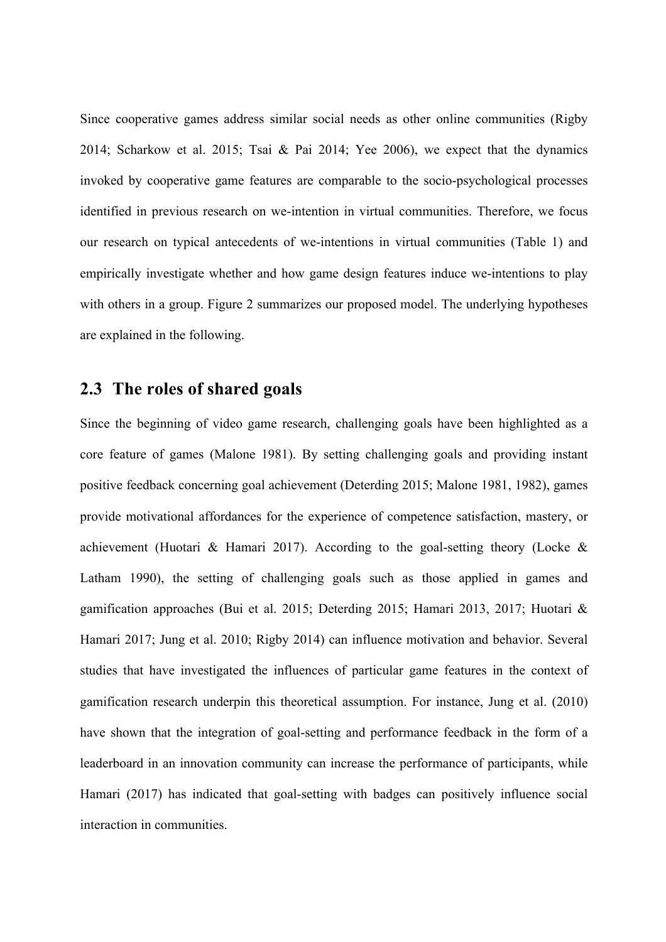Since cooperative games address similar social needs as other online communities (Rigby 2014; Scharkow et al. 2015; Tsai & Pai 2014; Yee 2006), we expect that the dynamics invoked by cooperative game features are comparable to the socio-psychological processes identified in previous research on we-intention in virtual communities. Therefore, we focus our research on typical antecedents of we-intentions in virtual communities (Table 1) and empirically investigate whether and how game design features induce we-intentions to play with others in a group. Figure 2 summarizes our proposed model. The underlying hypotheses are explained in the following.

### **2.3 The roles of shared goals**

Since the beginning of video game research, challenging goals have been highlighted as a core feature of games (Malone 1981). By setting challenging goals and providing instant positive feedback concerning goal achievement (Deterding 2015; Malone 1981, 1982), games provide motivational affordances for the experience of competence satisfaction, mastery, or achievement (Huotari & Hamari 2017). According to the goal-setting theory (Locke  $\&$ Latham 1990), the setting of challenging goals such as those applied in games and gamification approaches (Bui et al. 2015; Deterding 2015; Hamari 2013, 2017; Huotari & Hamari 2017; Jung et al. 2010; Rigby 2014) can influence motivation and behavior. Several studies that have investigated the influences of particular game features in the context of gamification research underpin this theoretical assumption. For instance, Jung et al. (2010) have shown that the integration of goal-setting and performance feedback in the form of a leaderboard in an innovation community can increase the performance of participants, while Hamari (2017) has indicated that goal-setting with badges can positively influence social interaction in communities.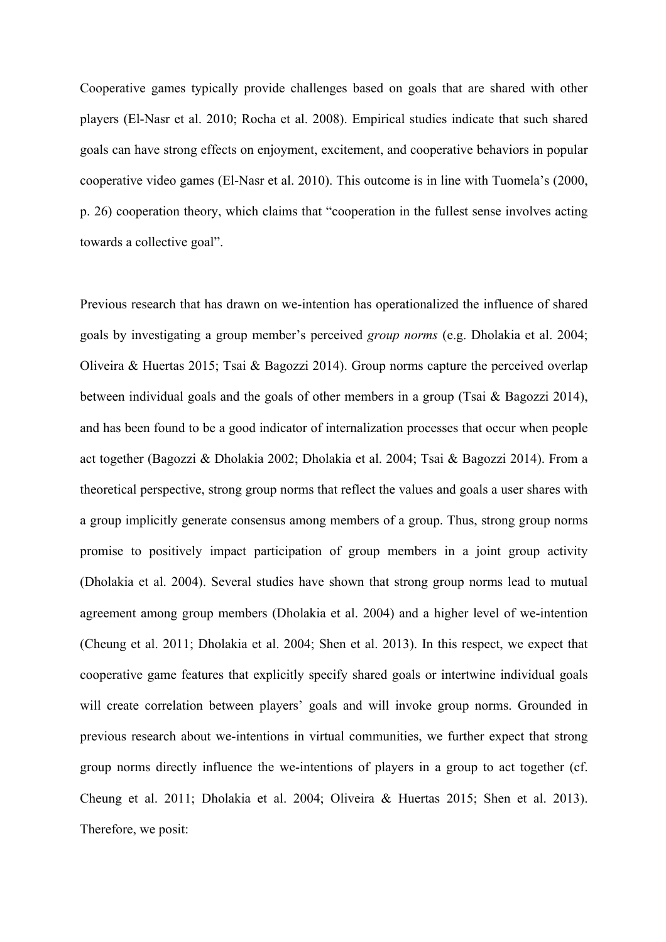Cooperative games typically provide challenges based on goals that are shared with other players (El-Nasr et al. 2010; Rocha et al. 2008). Empirical studies indicate that such shared goals can have strong effects on enjoyment, excitement, and cooperative behaviors in popular cooperative video games (El-Nasr et al. 2010). This outcome is in line with Tuomela's (2000, p. 26) cooperation theory, which claims that "cooperation in the fullest sense involves acting towards a collective goal".

Previous research that has drawn on we-intention has operationalized the influence of shared goals by investigating a group member's perceived *group norms* (e.g. Dholakia et al. 2004; Oliveira & Huertas 2015; Tsai & Bagozzi 2014). Group norms capture the perceived overlap between individual goals and the goals of other members in a group (Tsai & Bagozzi 2014), and has been found to be a good indicator of internalization processes that occur when people act together (Bagozzi & Dholakia 2002; Dholakia et al. 2004; Tsai & Bagozzi 2014). From a theoretical perspective, strong group norms that reflect the values and goals a user shares with a group implicitly generate consensus among members of a group. Thus, strong group norms promise to positively impact participation of group members in a joint group activity (Dholakia et al. 2004). Several studies have shown that strong group norms lead to mutual agreement among group members (Dholakia et al. 2004) and a higher level of we-intention (Cheung et al. 2011; Dholakia et al. 2004; Shen et al. 2013). In this respect, we expect that cooperative game features that explicitly specify shared goals or intertwine individual goals will create correlation between players' goals and will invoke group norms. Grounded in previous research about we-intentions in virtual communities, we further expect that strong group norms directly influence the we-intentions of players in a group to act together (cf. Cheung et al. 2011; Dholakia et al. 2004; Oliveira & Huertas 2015; Shen et al. 2013). Therefore, we posit: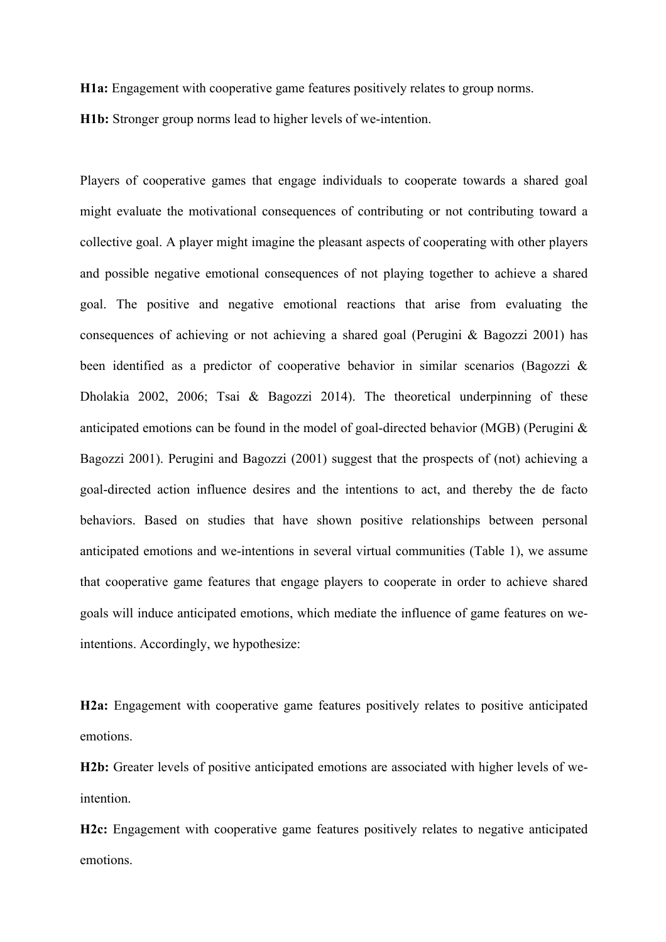**H1a:** Engagement with cooperative game features positively relates to group norms.

**H1b:** Stronger group norms lead to higher levels of we-intention.

Players of cooperative games that engage individuals to cooperate towards a shared goal might evaluate the motivational consequences of contributing or not contributing toward a collective goal. A player might imagine the pleasant aspects of cooperating with other players and possible negative emotional consequences of not playing together to achieve a shared goal. The positive and negative emotional reactions that arise from evaluating the consequences of achieving or not achieving a shared goal (Perugini & Bagozzi 2001) has been identified as a predictor of cooperative behavior in similar scenarios (Bagozzi & Dholakia 2002, 2006; Tsai & Bagozzi 2014). The theoretical underpinning of these anticipated emotions can be found in the model of goal-directed behavior (MGB) (Perugini & Bagozzi 2001). Perugini and Bagozzi (2001) suggest that the prospects of (not) achieving a goal-directed action influence desires and the intentions to act, and thereby the de facto behaviors. Based on studies that have shown positive relationships between personal anticipated emotions and we-intentions in several virtual communities (Table 1), we assume that cooperative game features that engage players to cooperate in order to achieve shared goals will induce anticipated emotions, which mediate the influence of game features on weintentions. Accordingly, we hypothesize:

**H2a:** Engagement with cooperative game features positively relates to positive anticipated emotions.

**H2b:** Greater levels of positive anticipated emotions are associated with higher levels of weintention.

**H2c:** Engagement with cooperative game features positively relates to negative anticipated emotions.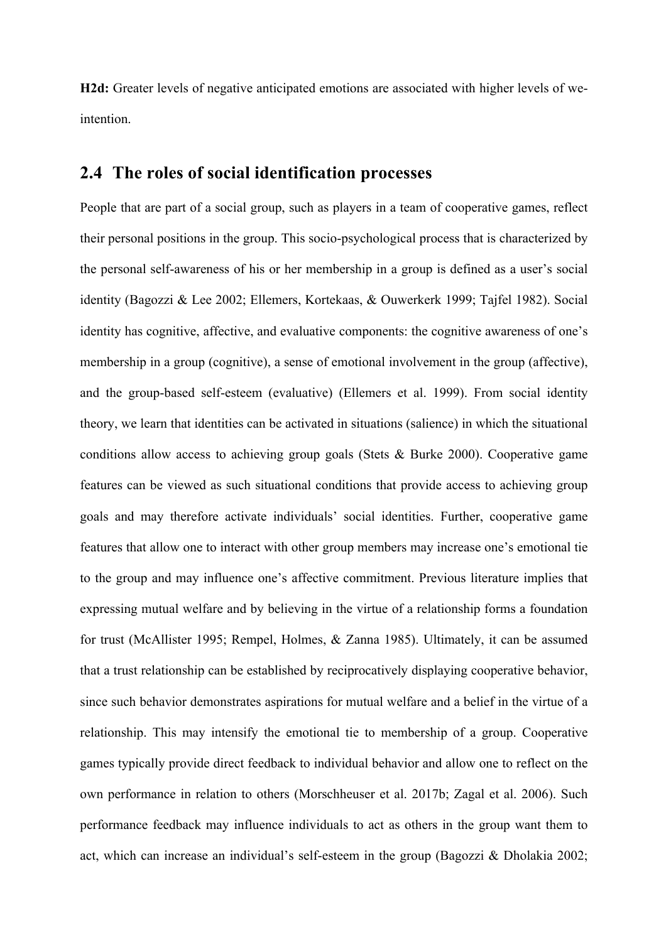**H2d:** Greater levels of negative anticipated emotions are associated with higher levels of weintention.

### **2.4 The roles of social identification processes**

People that are part of a social group, such as players in a team of cooperative games, reflect their personal positions in the group. This socio-psychological process that is characterized by the personal self-awareness of his or her membership in a group is defined as a user's social identity (Bagozzi & Lee 2002; Ellemers, Kortekaas, & Ouwerkerk 1999; Tajfel 1982). Social identity has cognitive, affective, and evaluative components: the cognitive awareness of one's membership in a group (cognitive), a sense of emotional involvement in the group (affective), and the group-based self-esteem (evaluative) (Ellemers et al. 1999). From social identity theory, we learn that identities can be activated in situations (salience) in which the situational conditions allow access to achieving group goals (Stets & Burke 2000). Cooperative game features can be viewed as such situational conditions that provide access to achieving group goals and may therefore activate individuals' social identities. Further, cooperative game features that allow one to interact with other group members may increase one's emotional tie to the group and may influence one's affective commitment. Previous literature implies that expressing mutual welfare and by believing in the virtue of a relationship forms a foundation for trust (McAllister 1995; Rempel, Holmes, & Zanna 1985). Ultimately, it can be assumed that a trust relationship can be established by reciprocatively displaying cooperative behavior, since such behavior demonstrates aspirations for mutual welfare and a belief in the virtue of a relationship. This may intensify the emotional tie to membership of a group. Cooperative games typically provide direct feedback to individual behavior and allow one to reflect on the own performance in relation to others (Morschheuser et al. 2017b; Zagal et al. 2006). Such performance feedback may influence individuals to act as others in the group want them to act, which can increase an individual's self-esteem in the group (Bagozzi & Dholakia 2002;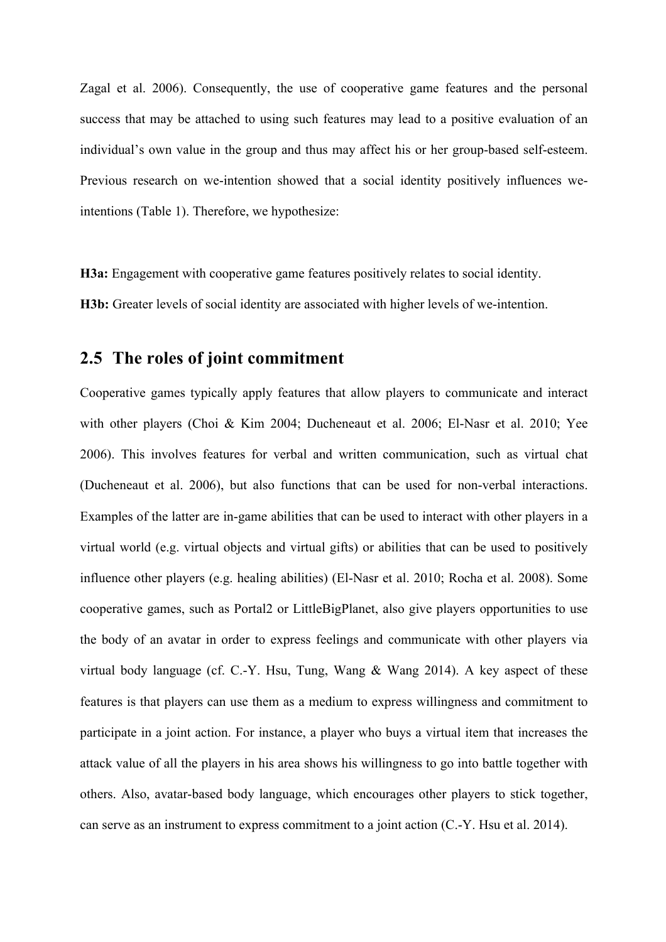Zagal et al. 2006). Consequently, the use of cooperative game features and the personal success that may be attached to using such features may lead to a positive evaluation of an individual's own value in the group and thus may affect his or her group-based self-esteem. Previous research on we-intention showed that a social identity positively influences weintentions (Table 1). Therefore, we hypothesize:

**H3a:** Engagement with cooperative game features positively relates to social identity.

**H3b:** Greater levels of social identity are associated with higher levels of we-intention.

### **2.5 The roles of joint commitment**

Cooperative games typically apply features that allow players to communicate and interact with other players (Choi & Kim 2004; Ducheneaut et al. 2006; El-Nasr et al. 2010; Yee 2006). This involves features for verbal and written communication, such as virtual chat (Ducheneaut et al. 2006), but also functions that can be used for non-verbal interactions. Examples of the latter are in-game abilities that can be used to interact with other players in a virtual world (e.g. virtual objects and virtual gifts) or abilities that can be used to positively influence other players (e.g. healing abilities) (El-Nasr et al. 2010; Rocha et al. 2008). Some cooperative games, such as Portal2 or LittleBigPlanet, also give players opportunities to use the body of an avatar in order to express feelings and communicate with other players via virtual body language (cf. C.-Y. Hsu, Tung, Wang & Wang 2014). A key aspect of these features is that players can use them as a medium to express willingness and commitment to participate in a joint action. For instance, a player who buys a virtual item that increases the attack value of all the players in his area shows his willingness to go into battle together with others. Also, avatar-based body language, which encourages other players to stick together, can serve as an instrument to express commitment to a joint action (C.-Y. Hsu et al. 2014).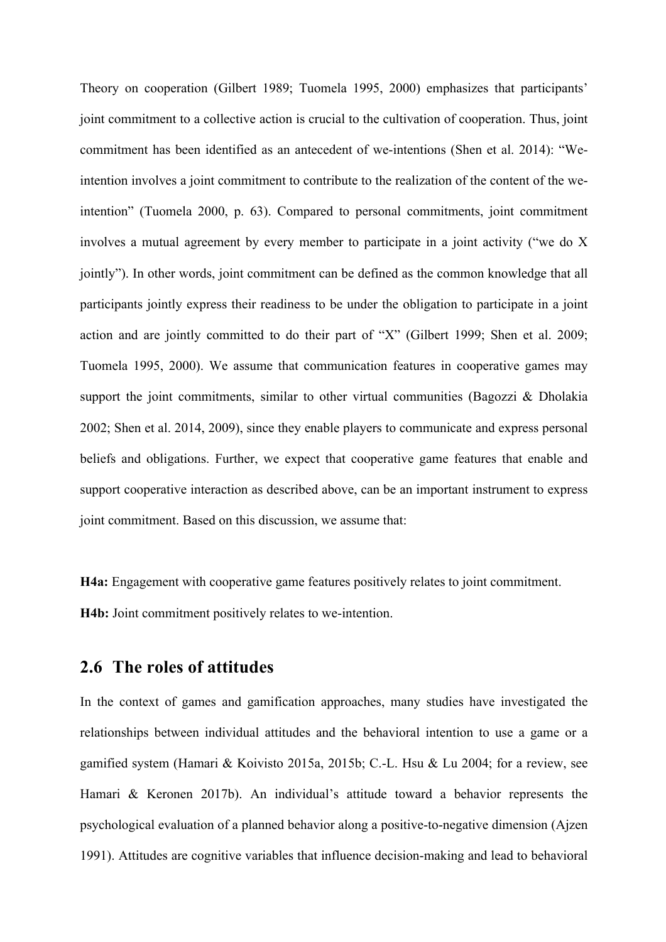Theory on cooperation (Gilbert 1989; Tuomela 1995, 2000) emphasizes that participants' joint commitment to a collective action is crucial to the cultivation of cooperation. Thus, joint commitment has been identified as an antecedent of we-intentions (Shen et al. 2014): "Weintention involves a joint commitment to contribute to the realization of the content of the weintention" (Tuomela 2000, p. 63). Compared to personal commitments, joint commitment involves a mutual agreement by every member to participate in a joint activity ("we do X jointly"). In other words, joint commitment can be defined as the common knowledge that all participants jointly express their readiness to be under the obligation to participate in a joint action and are jointly committed to do their part of "X" (Gilbert 1999; Shen et al. 2009; Tuomela 1995, 2000). We assume that communication features in cooperative games may support the joint commitments, similar to other virtual communities (Bagozzi & Dholakia 2002; Shen et al. 2014, 2009), since they enable players to communicate and express personal beliefs and obligations. Further, we expect that cooperative game features that enable and support cooperative interaction as described above, can be an important instrument to express joint commitment. Based on this discussion, we assume that:

**H4a:** Engagement with cooperative game features positively relates to joint commitment. **H4b:** Joint commitment positively relates to we-intention.

#### **2.6 The roles of attitudes**

In the context of games and gamification approaches, many studies have investigated the relationships between individual attitudes and the behavioral intention to use a game or a gamified system (Hamari & Koivisto 2015a, 2015b; C.-L. Hsu & Lu 2004; for a review, see Hamari & Keronen 2017b). An individual's attitude toward a behavior represents the psychological evaluation of a planned behavior along a positive-to-negative dimension (Ajzen 1991). Attitudes are cognitive variables that influence decision-making and lead to behavioral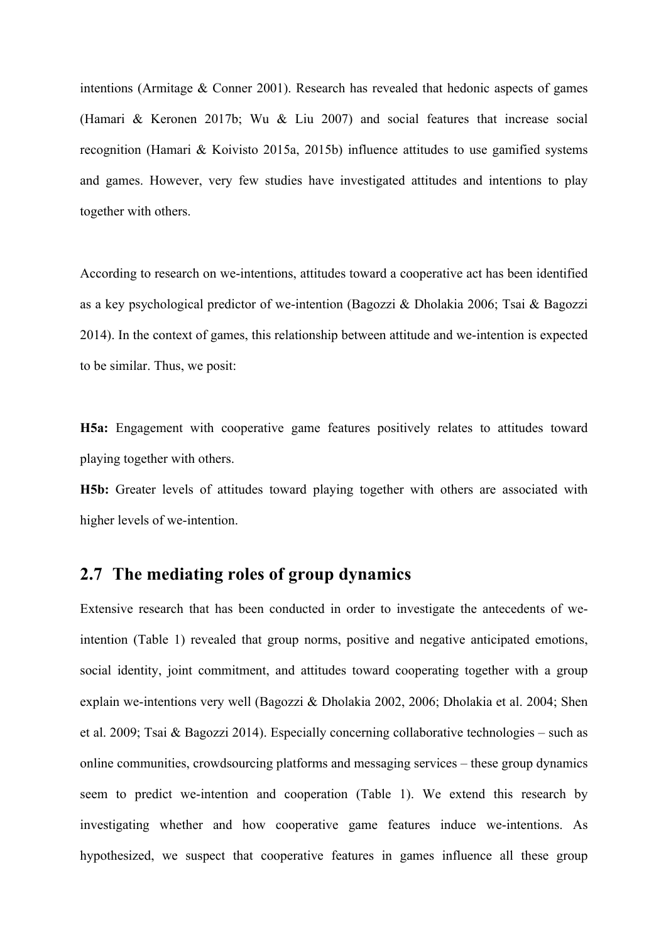intentions (Armitage & Conner 2001). Research has revealed that hedonic aspects of games (Hamari & Keronen 2017b; Wu & Liu 2007) and social features that increase social recognition (Hamari & Koivisto 2015a, 2015b) influence attitudes to use gamified systems and games. However, very few studies have investigated attitudes and intentions to play together with others.

According to research on we-intentions, attitudes toward a cooperative act has been identified as a key psychological predictor of we-intention (Bagozzi & Dholakia 2006; Tsai & Bagozzi 2014). In the context of games, this relationship between attitude and we-intention is expected to be similar. Thus, we posit:

**H5a:** Engagement with cooperative game features positively relates to attitudes toward playing together with others.

**H5b:** Greater levels of attitudes toward playing together with others are associated with higher levels of we-intention.

### **2.7 The mediating roles of group dynamics**

Extensive research that has been conducted in order to investigate the antecedents of weintention (Table 1) revealed that group norms, positive and negative anticipated emotions, social identity, joint commitment, and attitudes toward cooperating together with a group explain we-intentions very well (Bagozzi & Dholakia 2002, 2006; Dholakia et al. 2004; Shen et al. 2009; Tsai & Bagozzi 2014). Especially concerning collaborative technologies – such as online communities, crowdsourcing platforms and messaging services – these group dynamics seem to predict we-intention and cooperation (Table 1). We extend this research by investigating whether and how cooperative game features induce we-intentions. As hypothesized, we suspect that cooperative features in games influence all these group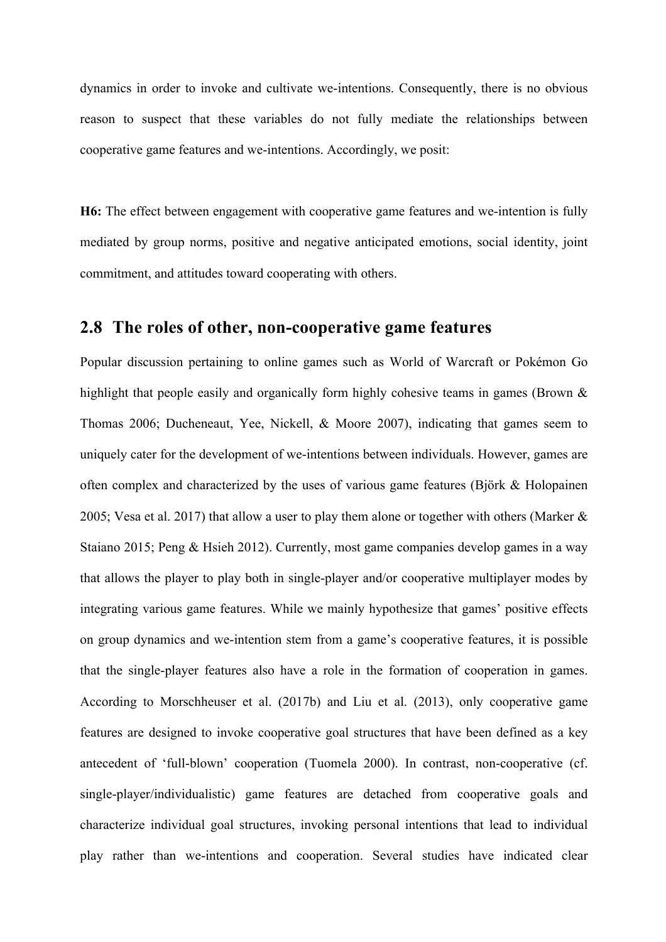dynamics in order to invoke and cultivate we-intentions. Consequently, there is no obvious reason to suspect that these variables do not fully mediate the relationships between cooperative game features and we-intentions. Accordingly, we posit:

**H6:** The effect between engagement with cooperative game features and we-intention is fully mediated by group norms, positive and negative anticipated emotions, social identity, joint commitment, and attitudes toward cooperating with others.

#### **2.8 The roles of other, non-cooperative game features**

Popular discussion pertaining to online games such as World of Warcraft or Pokémon Go highlight that people easily and organically form highly cohesive teams in games (Brown & Thomas 2006; Ducheneaut, Yee, Nickell, & Moore 2007), indicating that games seem to uniquely cater for the development of we-intentions between individuals. However, games are often complex and characterized by the uses of various game features (Björk & Holopainen 2005; Vesa et al. 2017) that allow a user to play them alone or together with others (Marker & Staiano 2015; Peng & Hsieh 2012). Currently, most game companies develop games in a way that allows the player to play both in single-player and/or cooperative multiplayer modes by integrating various game features. While we mainly hypothesize that games' positive effects on group dynamics and we-intention stem from a game's cooperative features, it is possible that the single-player features also have a role in the formation of cooperation in games. According to Morschheuser et al. (2017b) and Liu et al. (2013), only cooperative game features are designed to invoke cooperative goal structures that have been defined as a key antecedent of 'full-blown' cooperation (Tuomela 2000). In contrast, non-cooperative (cf. single-player/individualistic) game features are detached from cooperative goals and characterize individual goal structures, invoking personal intentions that lead to individual play rather than we-intentions and cooperation. Several studies have indicated clear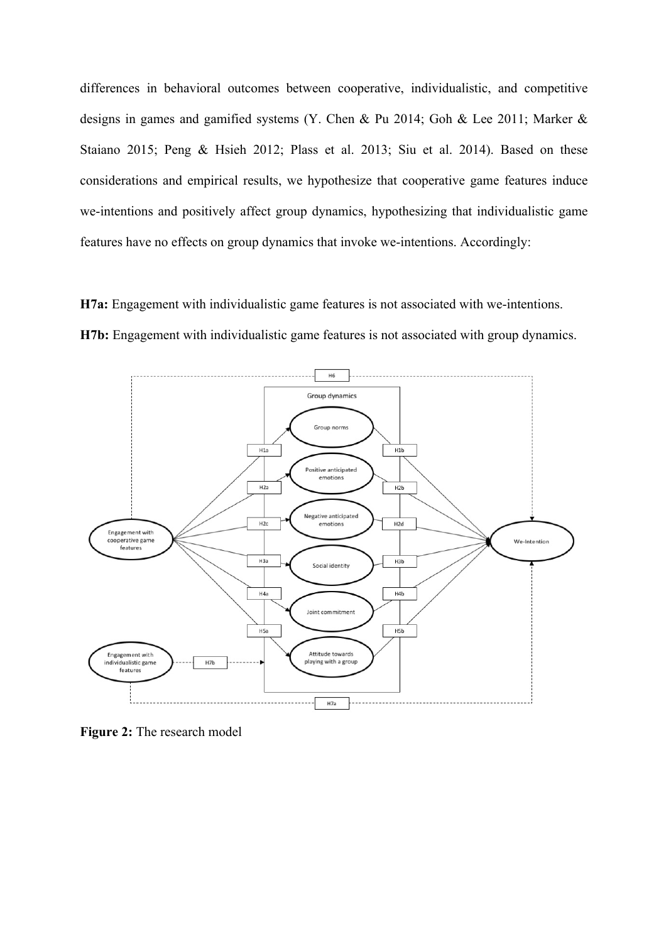differences in behavioral outcomes between cooperative, individualistic, and competitive designs in games and gamified systems (Y. Chen & Pu 2014; Goh & Lee 2011; Marker & Staiano 2015; Peng & Hsieh 2012; Plass et al. 2013; Siu et al. 2014). Based on these considerations and empirical results, we hypothesize that cooperative game features induce we-intentions and positively affect group dynamics, hypothesizing that individualistic game features have no effects on group dynamics that invoke we-intentions. Accordingly:

**H7a:** Engagement with individualistic game features is not associated with we-intentions. **H7b:** Engagement with individualistic game features is not associated with group dynamics.



**Figure 2:** The research model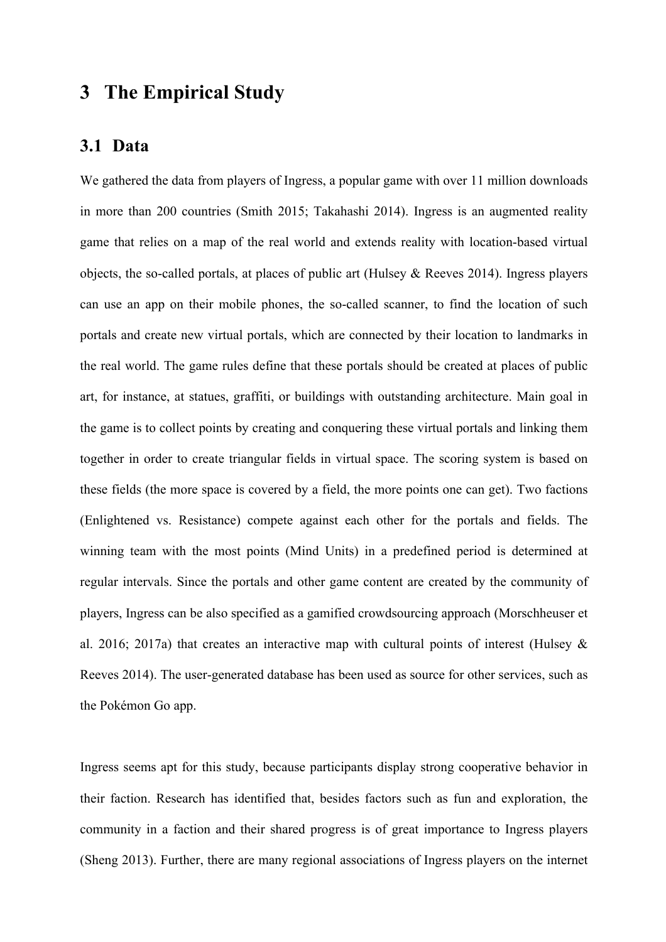## **3 The Empirical Study**

#### **3.1 Data**

We gathered the data from players of Ingress, a popular game with over 11 million downloads in more than 200 countries (Smith 2015; Takahashi 2014). Ingress is an augmented reality game that relies on a map of the real world and extends reality with location-based virtual objects, the so-called portals, at places of public art (Hulsey & Reeves 2014). Ingress players can use an app on their mobile phones, the so-called scanner, to find the location of such portals and create new virtual portals, which are connected by their location to landmarks in the real world. The game rules define that these portals should be created at places of public art, for instance, at statues, graffiti, or buildings with outstanding architecture. Main goal in the game is to collect points by creating and conquering these virtual portals and linking them together in order to create triangular fields in virtual space. The scoring system is based on these fields (the more space is covered by a field, the more points one can get). Two factions (Enlightened vs. Resistance) compete against each other for the portals and fields. The winning team with the most points (Mind Units) in a predefined period is determined at regular intervals. Since the portals and other game content are created by the community of players, Ingress can be also specified as a gamified crowdsourcing approach (Morschheuser et al. 2016; 2017a) that creates an interactive map with cultural points of interest (Hulsey  $\&$ Reeves 2014). The user-generated database has been used as source for other services, such as the Pokémon Go app.

Ingress seems apt for this study, because participants display strong cooperative behavior in their faction. Research has identified that, besides factors such as fun and exploration, the community in a faction and their shared progress is of great importance to Ingress players (Sheng 2013). Further, there are many regional associations of Ingress players on the internet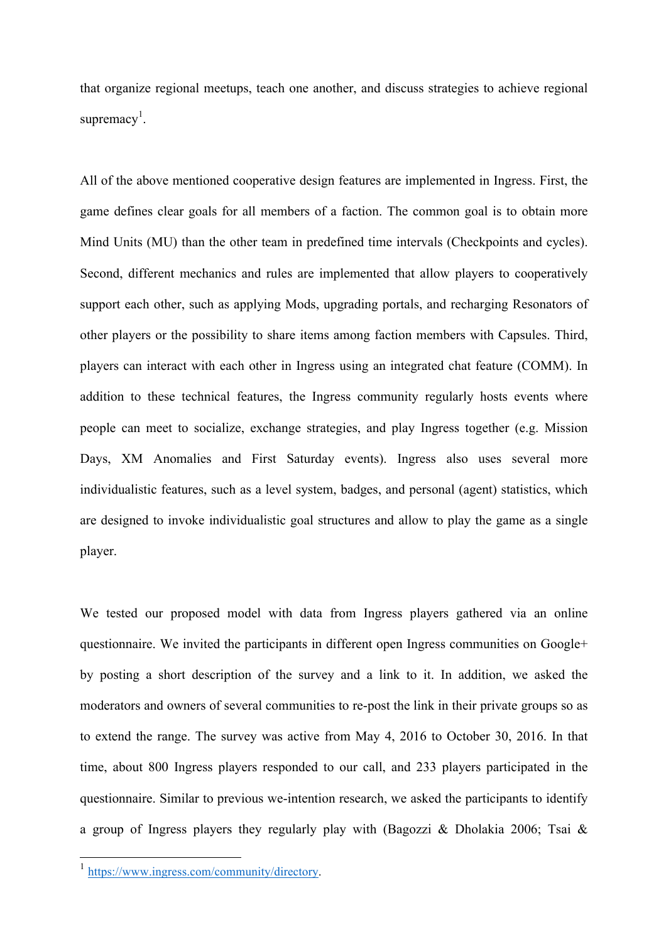that organize regional meetups, teach one another, and discuss strategies to achieve regional supremacy<sup>1</sup>.

All of the above mentioned cooperative design features are implemented in Ingress. First, the game defines clear goals for all members of a faction. The common goal is to obtain more Mind Units (MU) than the other team in predefined time intervals (Checkpoints and cycles). Second, different mechanics and rules are implemented that allow players to cooperatively support each other, such as applying Mods, upgrading portals, and recharging Resonators of other players or the possibility to share items among faction members with Capsules. Third, players can interact with each other in Ingress using an integrated chat feature (COMM). In addition to these technical features, the Ingress community regularly hosts events where people can meet to socialize, exchange strategies, and play Ingress together (e.g. Mission Days, XM Anomalies and First Saturday events). Ingress also uses several more individualistic features, such as a level system, badges, and personal (agent) statistics, which are designed to invoke individualistic goal structures and allow to play the game as a single player.

We tested our proposed model with data from Ingress players gathered via an online questionnaire. We invited the participants in different open Ingress communities on Google+ by posting a short description of the survey and a link to it. In addition, we asked the moderators and owners of several communities to re-post the link in their private groups so as to extend the range. The survey was active from May 4, 2016 to October 30, 2016. In that time, about 800 Ingress players responded to our call, and 233 players participated in the questionnaire. Similar to previous we-intention research, we asked the participants to identify a group of Ingress players they regularly play with (Bagozzi & Dholakia 2006; Tsai &

 <sup>1</sup> https://www.ingress.com/community/directory.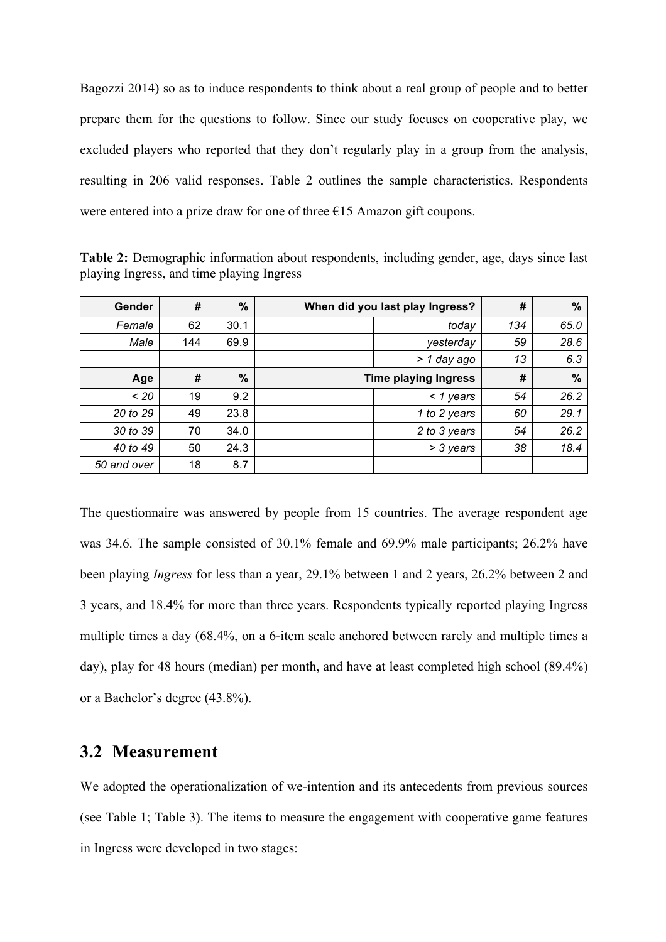Bagozzi 2014) so as to induce respondents to think about a real group of people and to better prepare them for the questions to follow. Since our study focuses on cooperative play, we excluded players who reported that they don't regularly play in a group from the analysis, resulting in 206 valid responses. Table 2 outlines the sample characteristics. Respondents were entered into a prize draw for one of three  $E15$  Amazon gift coupons.

**Table 2:** Demographic information about respondents, including gender, age, days since last playing Ingress, and time playing Ingress

| Gender      | #   | %             | When did you last play Ingress? |              | #   | $\%$ |
|-------------|-----|---------------|---------------------------------|--------------|-----|------|
| Female      | 62  | 30.1          |                                 | today        | 134 | 65.0 |
| Male        | 144 | 69.9          |                                 | yesterday    | 59  | 28.6 |
|             |     |               |                                 | > 1 day ago  | 13  | 6.3  |
| Age         | #   | $\frac{0}{0}$ | <b>Time playing Ingress</b>     |              | #   | $\%$ |
| $~<$ 20     | 19  | 9.2           |                                 | $<$ 1 years  | 54  | 26.2 |
| 20 to 29    | 49  | 23.8          |                                 | 1 to 2 years | 60  | 29.1 |
| 30 to 39    | 70  | 34.0          |                                 | 2 to 3 years | 54  | 26.2 |
| 40 to 49    | 50  | 24.3          |                                 | > 3 years    | 38  | 18.4 |
| 50 and over | 18  | 8.7           |                                 |              |     |      |

The questionnaire was answered by people from 15 countries. The average respondent age was 34.6. The sample consisted of 30.1% female and 69.9% male participants; 26.2% have been playing *Ingress* for less than a year, 29.1% between 1 and 2 years, 26.2% between 2 and 3 years, and 18.4% for more than three years. Respondents typically reported playing Ingress multiple times a day (68.4%, on a 6-item scale anchored between rarely and multiple times a day), play for 48 hours (median) per month, and have at least completed high school (89.4%) or a Bachelor's degree (43.8%).

#### **3.2 Measurement**

We adopted the operationalization of we-intention and its antecedents from previous sources (see Table 1; Table 3). The items to measure the engagement with cooperative game features in Ingress were developed in two stages: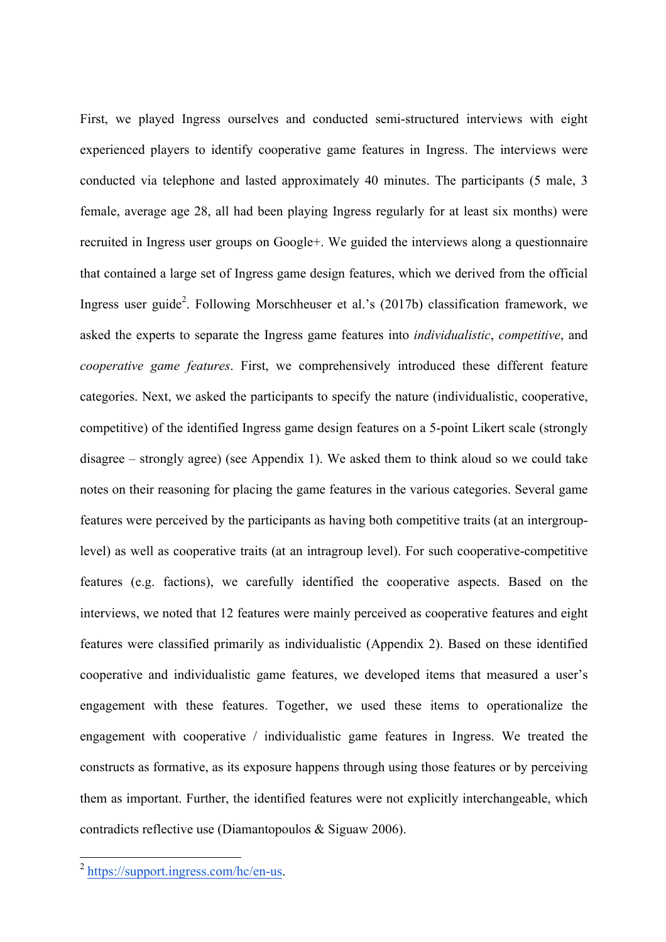First, we played Ingress ourselves and conducted semi-structured interviews with eight experienced players to identify cooperative game features in Ingress. The interviews were conducted via telephone and lasted approximately 40 minutes. The participants (5 male, 3 female, average age 28, all had been playing Ingress regularly for at least six months) were recruited in Ingress user groups on Google+. We guided the interviews along a questionnaire that contained a large set of Ingress game design features, which we derived from the official Ingress user guide<sup>2</sup>. Following Morschheuser et al.'s (2017b) classification framework, we asked the experts to separate the Ingress game features into *individualistic*, *competitive*, and *cooperative game features*. First, we comprehensively introduced these different feature categories. Next, we asked the participants to specify the nature (individualistic, cooperative, competitive) of the identified Ingress game design features on a 5-point Likert scale (strongly disagree – strongly agree) (see Appendix 1). We asked them to think aloud so we could take notes on their reasoning for placing the game features in the various categories. Several game features were perceived by the participants as having both competitive traits (at an intergrouplevel) as well as cooperative traits (at an intragroup level). For such cooperative-competitive features (e.g. factions), we carefully identified the cooperative aspects. Based on the interviews, we noted that 12 features were mainly perceived as cooperative features and eight features were classified primarily as individualistic (Appendix 2). Based on these identified cooperative and individualistic game features, we developed items that measured a user's engagement with these features. Together, we used these items to operationalize the engagement with cooperative / individualistic game features in Ingress. We treated the constructs as formative, as its exposure happens through using those features or by perceiving them as important. Further, the identified features were not explicitly interchangeable, which contradicts reflective use (Diamantopoulos & Siguaw 2006).

 <sup>2</sup> https://support.ingress.com/hc/en-us.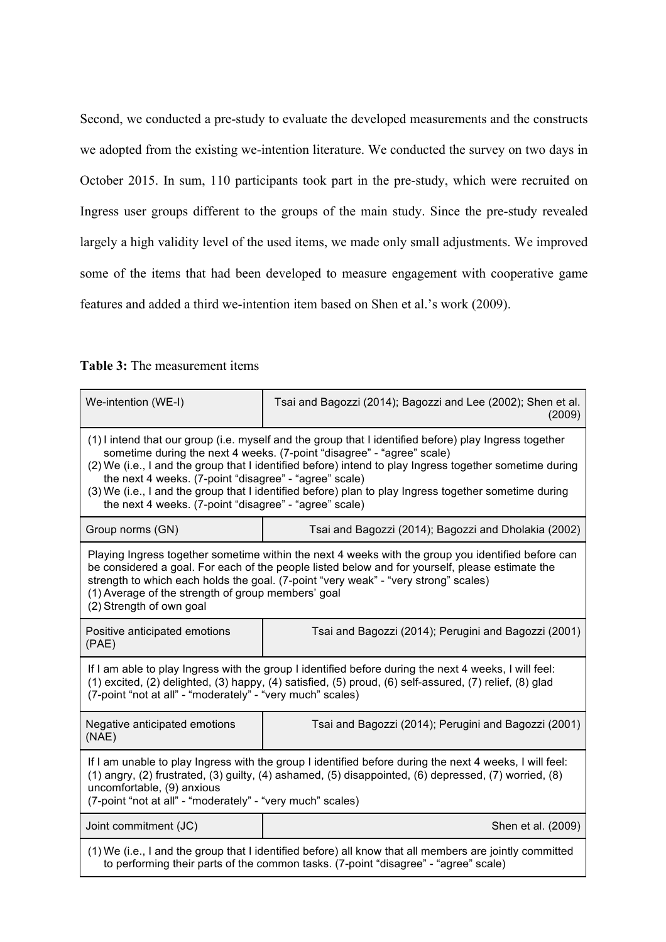Second, we conducted a pre-study to evaluate the developed measurements and the constructs we adopted from the existing we-intention literature. We conducted the survey on two days in October 2015. In sum, 110 participants took part in the pre-study, which were recruited on Ingress user groups different to the groups of the main study. Since the pre-study revealed largely a high validity level of the used items, we made only small adjustments. We improved some of the items that had been developed to measure engagement with cooperative game features and added a third we-intention item based on Shen et al.'s work (2009).

| <b>Table 3:</b> The measurement items |
|---------------------------------------|
|---------------------------------------|

| We-intention (WE-I)                                                                                                                                                                                                                                                                                                                                                                                                                                                                                                      | Tsai and Bagozzi (2014); Bagozzi and Lee (2002); Shen et al.<br>(2009) |  |  |  |  |  |
|--------------------------------------------------------------------------------------------------------------------------------------------------------------------------------------------------------------------------------------------------------------------------------------------------------------------------------------------------------------------------------------------------------------------------------------------------------------------------------------------------------------------------|------------------------------------------------------------------------|--|--|--|--|--|
| (1) I intend that our group (i.e. myself and the group that I identified before) play Ingress together<br>sometime during the next 4 weeks. (7-point "disagree" - "agree" scale)<br>(2) We (i.e., I and the group that I identified before) intend to play Ingress together sometime during<br>the next 4 weeks. (7-point "disagree" - "agree" scale)<br>(3) We (i.e., I and the group that I identified before) plan to play Ingress together sometime during<br>the next 4 weeks. (7-point "disagree" - "agree" scale) |                                                                        |  |  |  |  |  |
| Group norms (GN)                                                                                                                                                                                                                                                                                                                                                                                                                                                                                                         | Tsai and Bagozzi (2014); Bagozzi and Dholakia (2002)                   |  |  |  |  |  |
| Playing Ingress together sometime within the next 4 weeks with the group you identified before can<br>be considered a goal. For each of the people listed below and for yourself, please estimate the<br>strength to which each holds the goal. (7-point "very weak" - "very strong" scales)<br>(1) Average of the strength of group members' goal<br>(2) Strength of own goal                                                                                                                                           |                                                                        |  |  |  |  |  |
| Positive anticipated emotions<br>Tsai and Bagozzi (2014); Perugini and Bagozzi (2001)<br>(PAE)                                                                                                                                                                                                                                                                                                                                                                                                                           |                                                                        |  |  |  |  |  |
| If I am able to play Ingress with the group I identified before during the next 4 weeks, I will feel:<br>(1) excited, (2) delighted, (3) happy, (4) satisfied, (5) proud, (6) self-assured, (7) relief, (8) glad<br>(7-point "not at all" - "moderately" - "very much" scales)                                                                                                                                                                                                                                           |                                                                        |  |  |  |  |  |
| Negative anticipated emotions<br>Tsai and Bagozzi (2014); Perugini and Bagozzi (2001)<br>(NAE)                                                                                                                                                                                                                                                                                                                                                                                                                           |                                                                        |  |  |  |  |  |
| If I am unable to play Ingress with the group I identified before during the next 4 weeks, I will feel:<br>(1) angry, (2) frustrated, (3) guilty, (4) ashamed, (5) disappointed, (6) depressed, (7) worried, (8)<br>uncomfortable, (9) anxious<br>(7-point "not at all" - "moderately" - "very much" scales)                                                                                                                                                                                                             |                                                                        |  |  |  |  |  |
| Joint commitment (JC)                                                                                                                                                                                                                                                                                                                                                                                                                                                                                                    | Shen et al. (2009)                                                     |  |  |  |  |  |
| (1) We (i.e., I and the group that I identified before) all know that all members are jointly committed<br>to performing their parts of the common tasks. (7-point "disagree" - "agree" scale)                                                                                                                                                                                                                                                                                                                           |                                                                        |  |  |  |  |  |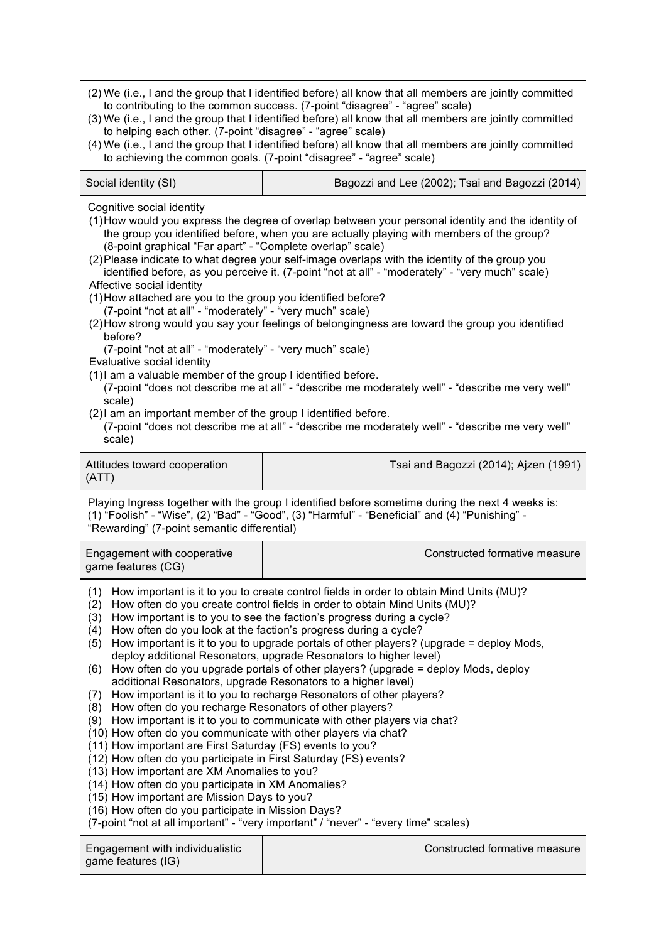| (2) We (i.e., I and the group that I identified before) all know that all members are jointly committed<br>to contributing to the common success. (7-point "disagree" - "agree" scale)<br>(3) We (i.e., I and the group that I identified before) all know that all members are jointly committed<br>to helping each other. (7-point "disagree" - "agree" scale)<br>(4) We (i.e., I and the group that I identified before) all know that all members are jointly committed<br>to achieving the common goals. (7-point "disagree" - "agree" scale)                                                                                                                                                                                                                                                                                                                                                                                                                                                                                                                                                                                                                                                                                                                                                                                                                                                                   |                                                 |  |  |  |  |  |  |
|----------------------------------------------------------------------------------------------------------------------------------------------------------------------------------------------------------------------------------------------------------------------------------------------------------------------------------------------------------------------------------------------------------------------------------------------------------------------------------------------------------------------------------------------------------------------------------------------------------------------------------------------------------------------------------------------------------------------------------------------------------------------------------------------------------------------------------------------------------------------------------------------------------------------------------------------------------------------------------------------------------------------------------------------------------------------------------------------------------------------------------------------------------------------------------------------------------------------------------------------------------------------------------------------------------------------------------------------------------------------------------------------------------------------|-------------------------------------------------|--|--|--|--|--|--|
| Social identity (SI)                                                                                                                                                                                                                                                                                                                                                                                                                                                                                                                                                                                                                                                                                                                                                                                                                                                                                                                                                                                                                                                                                                                                                                                                                                                                                                                                                                                                 | Bagozzi and Lee (2002); Tsai and Bagozzi (2014) |  |  |  |  |  |  |
| Cognitive social identity<br>(1) How would you express the degree of overlap between your personal identity and the identity of<br>the group you identified before, when you are actually playing with members of the group?<br>(8-point graphical "Far apart" - "Complete overlap" scale)<br>(2) Please indicate to what degree your self-image overlaps with the identity of the group you<br>identified before, as you perceive it. (7-point "not at all" - "moderately" - "very much" scale)<br>Affective social identity<br>(1) How attached are you to the group you identified before?<br>(7-point "not at all" - "moderately" - "very much" scale)<br>(2) How strong would you say your feelings of belongingness are toward the group you identified<br>before?<br>(7-point "not at all" - "moderately" - "very much" scale)<br>Evaluative social identity<br>(1) I am a valuable member of the group I identified before.<br>(7-point "does not describe me at all" - "describe me moderately well" - "describe me very well"<br>scale)<br>(2) I am an important member of the group I identified before.<br>(7-point "does not describe me at all" - "describe me moderately well" - "describe me very well"<br>scale)                                                                                                                                                                                    |                                                 |  |  |  |  |  |  |
| Attitudes toward cooperation<br>(ATT)                                                                                                                                                                                                                                                                                                                                                                                                                                                                                                                                                                                                                                                                                                                                                                                                                                                                                                                                                                                                                                                                                                                                                                                                                                                                                                                                                                                | Tsai and Bagozzi (2014); Ajzen (1991)           |  |  |  |  |  |  |
| Playing Ingress together with the group I identified before sometime during the next 4 weeks is:<br>(1) "Foolish" - "Wise", (2) "Bad" - "Good", (3) "Harmful" - "Beneficial" and (4) "Punishing" -<br>"Rewarding" (7-point semantic differential)                                                                                                                                                                                                                                                                                                                                                                                                                                                                                                                                                                                                                                                                                                                                                                                                                                                                                                                                                                                                                                                                                                                                                                    |                                                 |  |  |  |  |  |  |
| Engagement with cooperative<br>game features (CG)                                                                                                                                                                                                                                                                                                                                                                                                                                                                                                                                                                                                                                                                                                                                                                                                                                                                                                                                                                                                                                                                                                                                                                                                                                                                                                                                                                    | Constructed formative measure                   |  |  |  |  |  |  |
| How important is it to you to create control fields in order to obtain Mind Units (MU)?<br>(1)<br>How often do you create control fields in order to obtain Mind Units (MU)?<br>(2)<br>How important is to you to see the faction's progress during a cycle?<br>(3)<br>How often do you look at the faction's progress during a cycle?<br>(4)<br>How important is it to you to upgrade portals of other players? (upgrade = deploy Mods,<br>(5)<br>deploy additional Resonators, upgrade Resonators to higher level)<br>How often do you upgrade portals of other players? (upgrade = deploy Mods, deploy<br>(6)<br>additional Resonators, upgrade Resonators to a higher level)<br>How important is it to you to recharge Resonators of other players?<br>(7)<br>How often do you recharge Resonators of other players?<br>(8)<br>How important is it to you to communicate with other players via chat?<br>(9)<br>(10) How often do you communicate with other players via chat?<br>(11) How important are First Saturday (FS) events to you?<br>(12) How often do you participate in First Saturday (FS) events?<br>(13) How important are XM Anomalies to you?<br>(14) How often do you participate in XM Anomalies?<br>(15) How important are Mission Days to you?<br>(16) How often do you participate in Mission Days?<br>(7-point "not at all important" - "very important" / "never" - "every time" scales) |                                                 |  |  |  |  |  |  |
| Engagement with individualistic<br>game features (IG)                                                                                                                                                                                                                                                                                                                                                                                                                                                                                                                                                                                                                                                                                                                                                                                                                                                                                                                                                                                                                                                                                                                                                                                                                                                                                                                                                                | Constructed formative measure                   |  |  |  |  |  |  |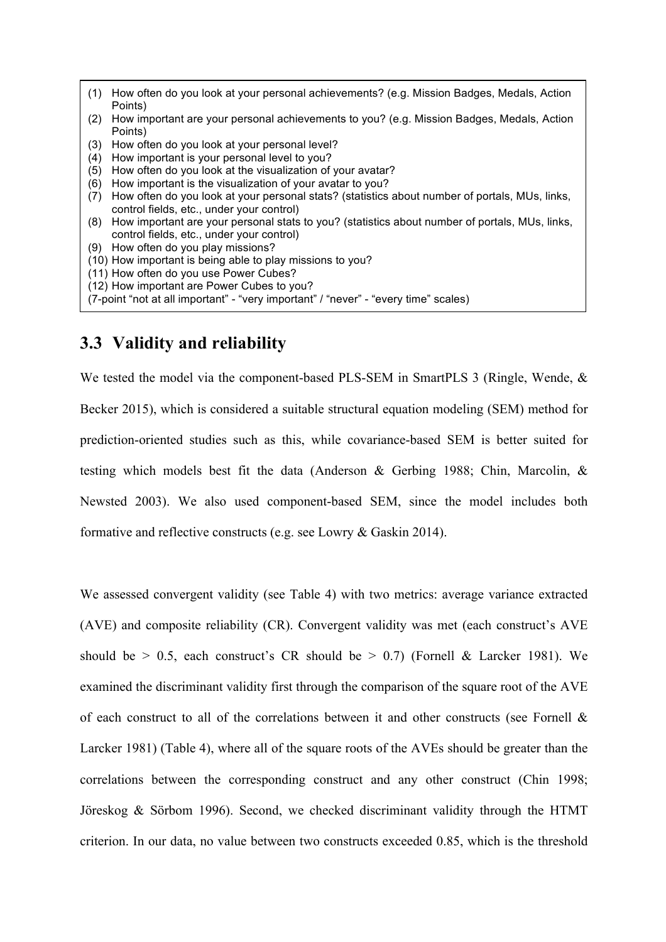- (1) How often do you look at your personal achievements? (e.g. Mission Badges, Medals, Action Points)
- (2) How important are your personal achievements to you? (e.g. Mission Badges, Medals, Action Points)
- (3) How often do you look at your personal level?
- (4) How important is your personal level to you?
- (5) How often do you look at the visualization of your avatar?
- (6) How important is the visualization of your avatar to you?
- (7) How often do you look at your personal stats? (statistics about number of portals, MUs, links, control fields, etc., under your control)
- (8) How important are your personal stats to you? (statistics about number of portals, MUs, links, control fields, etc., under your control)
- (9) How often do you play missions?
- (10) How important is being able to play missions to you?
- (11) How often do you use Power Cubes?
- (12) How important are Power Cubes to you?
- (7-point "not at all important" "very important" / "never" "every time" scales)

### **3.3 Validity and reliability**

We tested the model via the component-based PLS-SEM in SmartPLS 3 (Ringle, Wende, & Becker 2015), which is considered a suitable structural equation modeling (SEM) method for prediction-oriented studies such as this, while covariance-based SEM is better suited for testing which models best fit the data (Anderson & Gerbing 1988; Chin, Marcolin, & Newsted 2003). We also used component-based SEM, since the model includes both formative and reflective constructs (e.g. see Lowry & Gaskin 2014).

We assessed convergent validity (see Table 4) with two metrics: average variance extracted (AVE) and composite reliability (CR). Convergent validity was met (each construct's AVE should be  $> 0.5$ , each construct's CR should be  $> 0.7$ ) (Fornell & Larcker 1981). We examined the discriminant validity first through the comparison of the square root of the AVE of each construct to all of the correlations between it and other constructs (see Fornell  $\&$ Larcker 1981) (Table 4), where all of the square roots of the AVEs should be greater than the correlations between the corresponding construct and any other construct (Chin 1998; Jöreskog & Sörbom 1996). Second, we checked discriminant validity through the HTMT criterion. In our data, no value between two constructs exceeded 0.85, which is the threshold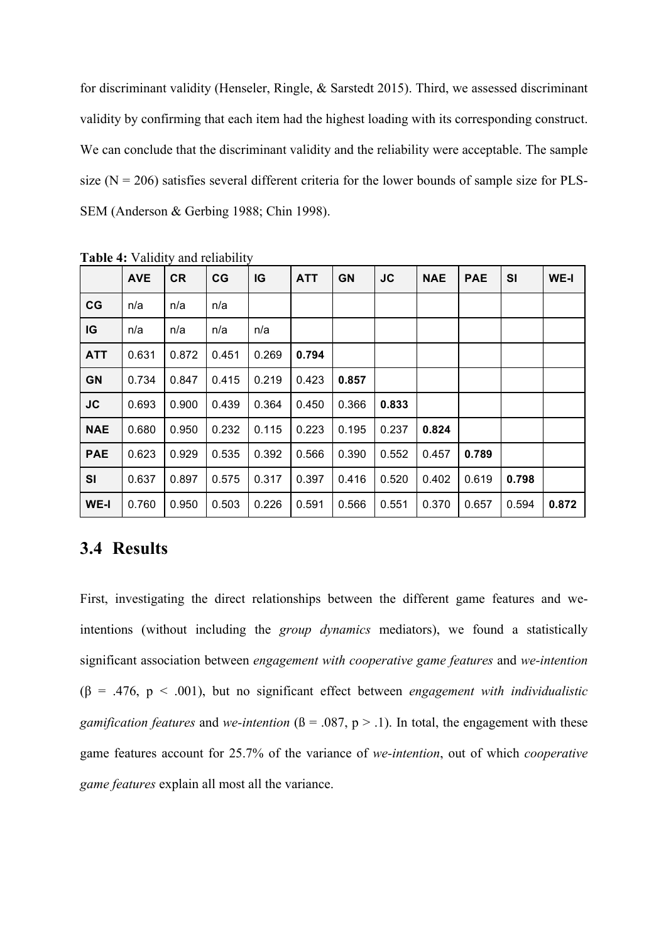for discriminant validity (Henseler, Ringle, & Sarstedt 2015). Third, we assessed discriminant validity by confirming that each item had the highest loading with its corresponding construct. We can conclude that the discriminant validity and the reliability were acceptable. The sample size  $(N = 206)$  satisfies several different criteria for the lower bounds of sample size for PLS-SEM (Anderson & Gerbing 1988; Chin 1998).

|            | <b>AVE</b> | <b>CR</b> | CG    | IG    | <b>ATT</b> | <b>GN</b> | <b>JC</b> | <b>NAE</b> | <b>PAE</b> | <b>SI</b> | WE-I  |
|------------|------------|-----------|-------|-------|------------|-----------|-----------|------------|------------|-----------|-------|
| CG         | n/a        | n/a       | n/a   |       |            |           |           |            |            |           |       |
| IG         | n/a        | n/a       | n/a   | n/a   |            |           |           |            |            |           |       |
| <b>ATT</b> | 0.631      | 0.872     | 0.451 | 0.269 | 0.794      |           |           |            |            |           |       |
| <b>GN</b>  | 0.734      | 0.847     | 0.415 | 0.219 | 0.423      | 0.857     |           |            |            |           |       |
| <b>JC</b>  | 0.693      | 0.900     | 0.439 | 0.364 | 0.450      | 0.366     | 0.833     |            |            |           |       |
| <b>NAE</b> | 0.680      | 0.950     | 0.232 | 0.115 | 0.223      | 0.195     | 0.237     | 0.824      |            |           |       |
| <b>PAE</b> | 0.623      | 0.929     | 0.535 | 0.392 | 0.566      | 0.390     | 0.552     | 0.457      | 0.789      |           |       |
| SI         | 0.637      | 0.897     | 0.575 | 0.317 | 0.397      | 0.416     | 0.520     | 0.402      | 0.619      | 0.798     |       |
| WE-I       | 0.760      | 0.950     | 0.503 | 0.226 | 0.591      | 0.566     | 0.551     | 0.370      | 0.657      | 0.594     | 0.872 |

**Table 4:** Validity and reliability

### **3.4 Results**

First, investigating the direct relationships between the different game features and weintentions (without including the *group dynamics* mediators), we found a statistically significant association between *engagement with cooperative game features* and *we-intention*  (β = .476, p < .001), but no significant effect between *engagement with individualistic gamification features* and *we-intention* ( $\beta = .087$ ,  $p > .1$ ). In total, the engagement with these game features account for 25.7% of the variance of *we-intention*, out of which *cooperative game features* explain all most all the variance.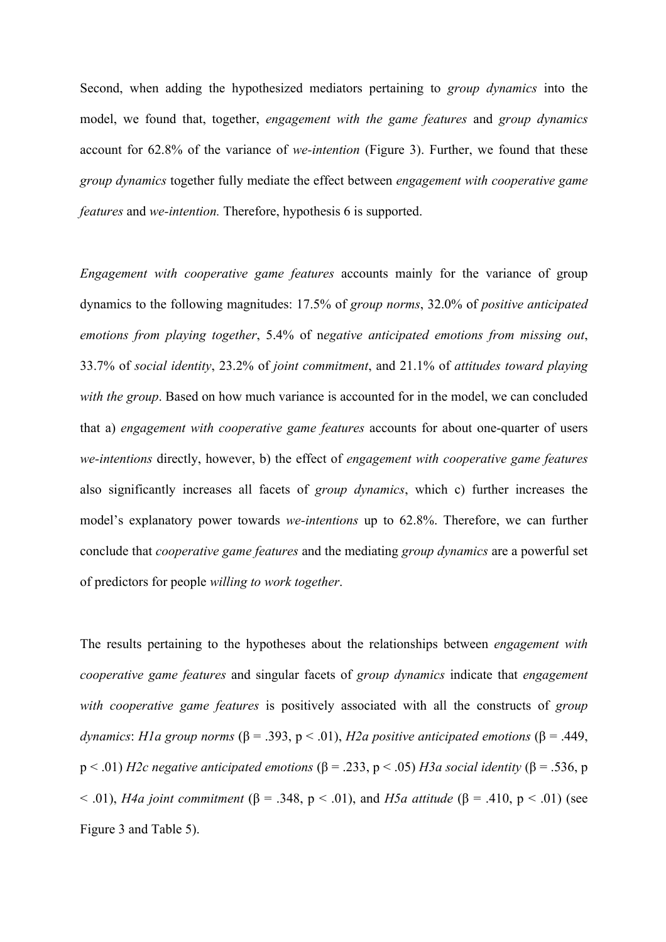Second, when adding the hypothesized mediators pertaining to *group dynamics* into the model, we found that, together, *engagement with the game features* and *group dynamics* account for 62.8% of the variance of *we-intention* (Figure 3). Further, we found that these *group dynamics* together fully mediate the effect between *engagement with cooperative game features* and *we-intention.* Therefore, hypothesis 6 is supported.

*Engagement with cooperative game features* accounts mainly for the variance of group dynamics to the following magnitudes: 17.5% of *group norms*, 32.0% of *positive anticipated emotions from playing together*, 5.4% of n*egative anticipated emotions from missing out*, 33.7% of *social identity*, 23.2% of *joint commitment*, and 21.1% of *attitudes toward playing with the group*. Based on how much variance is accounted for in the model, we can concluded that a) *engagement with cooperative game features* accounts for about one-quarter of users *we-intentions* directly, however, b) the effect of *engagement with cooperative game features*  also significantly increases all facets of *group dynamics*, which c) further increases the model's explanatory power towards *we-intentions* up to 62.8%. Therefore, we can further conclude that *cooperative game features* and the mediating *group dynamics* are a powerful set of predictors for people *willing to work together*.

The results pertaining to the hypotheses about the relationships between *engagement with cooperative game features* and singular facets of *group dynamics* indicate that *engagement with cooperative game features* is positively associated with all the constructs of *group dynamics*: *H1a group norms* (β = .393, p < .01), *H2a positive anticipated emotions* (β = .449, p < .01) *H2c negative anticipated emotions* (β = .233, p < .05) *H3a social identity* (β = .536, p < .01), *H4a joint commitment* (β = .348, p < .01), and *H5a attitude* (β = .410, p < .01) (see Figure 3 and Table 5).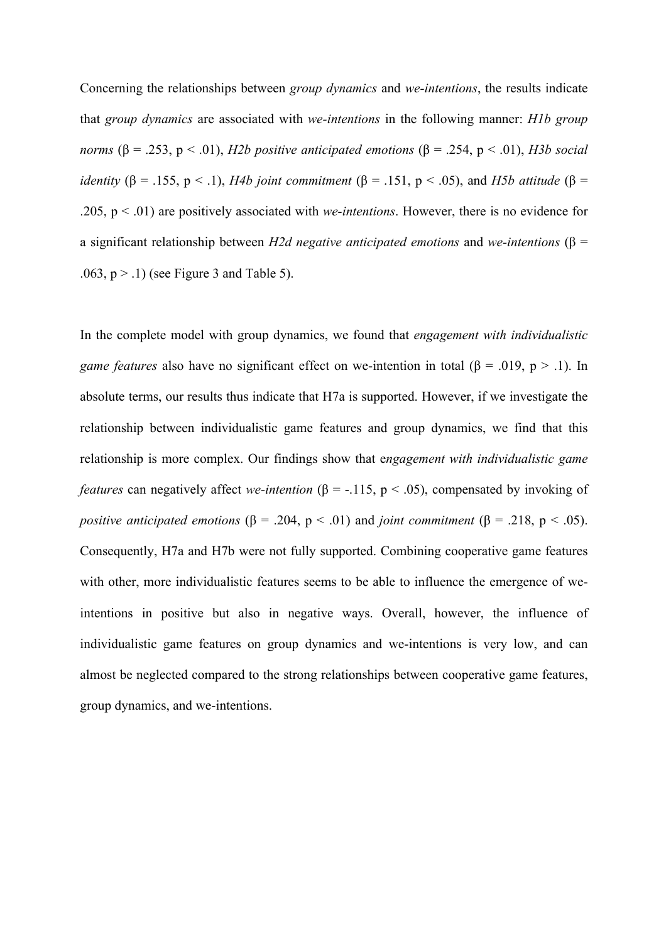Concerning the relationships between *group dynamics* and *we-intentions*, the results indicate that *group dynamics* are associated with *we-intentions* in the following manner: *H1b group norms* ( $\beta$  = .253, p < .01), *H2b positive anticipated emotions* ( $\beta$  = .254, p < .01), *H3b social identity* ( $\beta$  = .155, p < .1), *H4b joint commitment* ( $\beta$  = .151, p < .05), and *H5b attitude* ( $\beta$  = .205, p < .01) are positively associated with *we-intentions*. However, there is no evidence for a significant relationship between *H2d negative anticipated emotions* and *we-intentions* (β =  $.063$ ,  $p > .1$ ) (see Figure 3 and Table 5).

In the complete model with group dynamics, we found that *engagement with individualistic game features* also have no significant effect on we-intention in total ( $\beta$  = .019,  $p$  > .1). In absolute terms, our results thus indicate that H7a is supported. However, if we investigate the relationship between individualistic game features and group dynamics, we find that this relationship is more complex. Our findings show that e*ngagement with individualistic game features* can negatively affect *we-intention* ( $\beta$  = -.115,  $p$  < .05), compensated by invoking of *positive anticipated emotions* ( $\beta$  = .204,  $p$  < .01) and *joint commitment* ( $\beta$  = .218,  $p$  < .05). Consequently, H7a and H7b were not fully supported. Combining cooperative game features with other, more individualistic features seems to be able to influence the emergence of weintentions in positive but also in negative ways. Overall, however, the influence of individualistic game features on group dynamics and we-intentions is very low, and can almost be neglected compared to the strong relationships between cooperative game features, group dynamics, and we-intentions.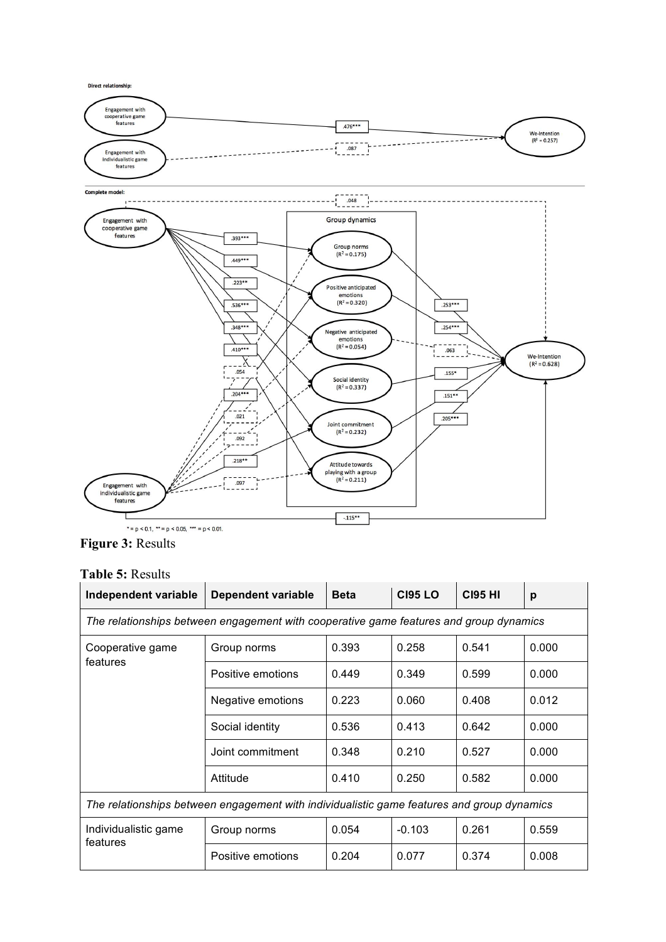

**Figure 3:** Results

#### **Table 5:** Results

| Independent variable<br>Dependent variable                                                 |                   | <b>Beta</b> | <b>CI95 LO</b> | <b>CI95 HI</b> | p     |  |  |
|--------------------------------------------------------------------------------------------|-------------------|-------------|----------------|----------------|-------|--|--|
| The relationships between engagement with cooperative game features and group dynamics     |                   |             |                |                |       |  |  |
| Cooperative game                                                                           | Group norms       | 0.393       | 0.258          | 0.541          | 0.000 |  |  |
| features                                                                                   | Positive emotions | 0.449       | 0.349          | 0.599          | 0.000 |  |  |
|                                                                                            | Negative emotions | 0.223       | 0.060          | 0.408          | 0.012 |  |  |
|                                                                                            | Social identity   | 0.536       | 0.413          | 0.642          | 0.000 |  |  |
|                                                                                            | Joint commitment  | 0.348       | 0.210          | 0.527          | 0.000 |  |  |
|                                                                                            | Attitude          | 0.410       | 0.250          | 0.582          | 0.000 |  |  |
| The relationships between engagement with individualistic game features and group dynamics |                   |             |                |                |       |  |  |
| Individualistic game<br>features                                                           | Group norms       | 0.054       | $-0.103$       | 0.261          | 0.559 |  |  |
|                                                                                            | Positive emotions | 0.204       | 0.077          | 0.374          | 0.008 |  |  |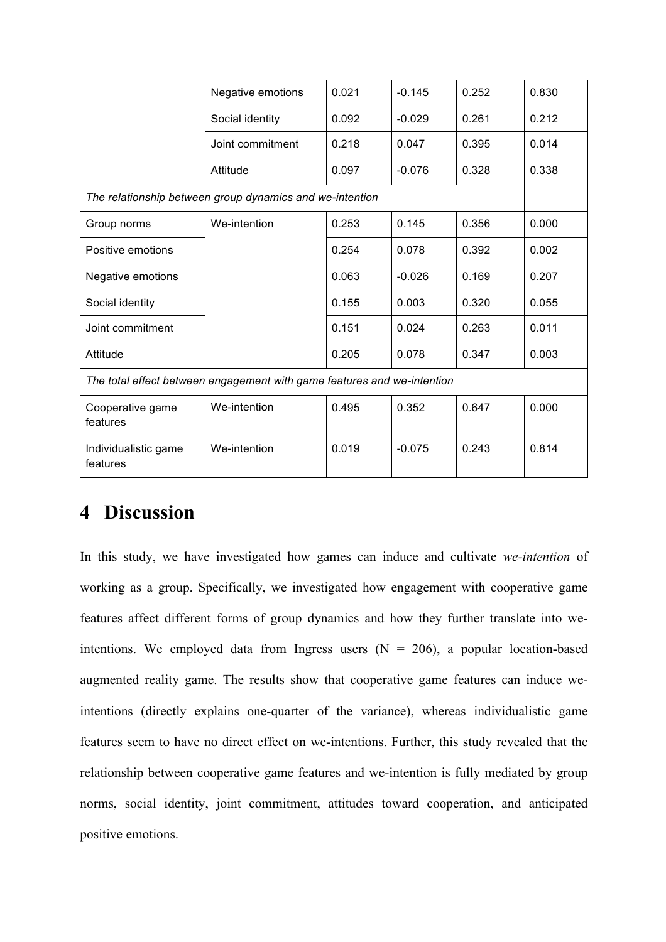|                                                                         | Negative emotions                                        | 0.021 | $-0.145$ | 0.252 | 0.830 |  |  |  |
|-------------------------------------------------------------------------|----------------------------------------------------------|-------|----------|-------|-------|--|--|--|
|                                                                         | Social identity                                          | 0.092 | $-0.029$ | 0.261 | 0.212 |  |  |  |
|                                                                         | Joint commitment                                         | 0.218 | 0.047    | 0.395 | 0.014 |  |  |  |
|                                                                         | Attitude                                                 | 0.097 | $-0.076$ | 0.328 | 0.338 |  |  |  |
|                                                                         | The relationship between group dynamics and we-intention |       |          |       |       |  |  |  |
| Group norms                                                             | We-intention                                             | 0.253 | 0.145    | 0.356 | 0.000 |  |  |  |
| Positive emotions                                                       |                                                          | 0.254 | 0.078    | 0.392 | 0.002 |  |  |  |
| Negative emotions                                                       |                                                          | 0.063 | $-0.026$ | 0.169 | 0.207 |  |  |  |
| Social identity                                                         |                                                          | 0.155 | 0.003    | 0.320 | 0.055 |  |  |  |
| Joint commitment                                                        |                                                          | 0.151 | 0.024    | 0.263 | 0.011 |  |  |  |
| Attitude                                                                |                                                          | 0.205 | 0.078    | 0.347 | 0.003 |  |  |  |
| The total effect between engagement with game features and we-intention |                                                          |       |          |       |       |  |  |  |
| Cooperative game<br>features                                            | We-intention                                             | 0.495 | 0.352    | 0.647 | 0.000 |  |  |  |
| Individualistic game<br>features                                        | We-intention                                             | 0.019 | $-0.075$ | 0.243 | 0.814 |  |  |  |

## **4 Discussion**

In this study, we have investigated how games can induce and cultivate *we-intention* of working as a group. Specifically, we investigated how engagement with cooperative game features affect different forms of group dynamics and how they further translate into weintentions. We employed data from Ingress users  $(N = 206)$ , a popular location-based augmented reality game. The results show that cooperative game features can induce weintentions (directly explains one-quarter of the variance), whereas individualistic game features seem to have no direct effect on we-intentions. Further, this study revealed that the relationship between cooperative game features and we-intention is fully mediated by group norms, social identity, joint commitment, attitudes toward cooperation, and anticipated positive emotions.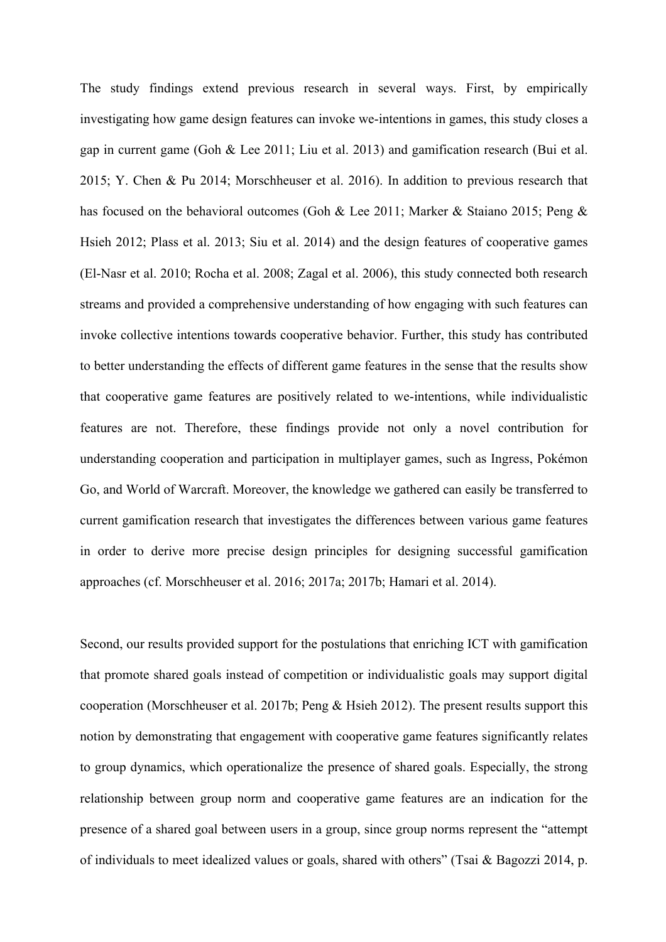The study findings extend previous research in several ways. First, by empirically investigating how game design features can invoke we-intentions in games, this study closes a gap in current game (Goh & Lee 2011; Liu et al. 2013) and gamification research (Bui et al. 2015; Y. Chen & Pu 2014; Morschheuser et al. 2016). In addition to previous research that has focused on the behavioral outcomes (Goh & Lee 2011; Marker & Staiano 2015; Peng & Hsieh 2012; Plass et al. 2013; Siu et al. 2014) and the design features of cooperative games (El-Nasr et al. 2010; Rocha et al. 2008; Zagal et al. 2006), this study connected both research streams and provided a comprehensive understanding of how engaging with such features can invoke collective intentions towards cooperative behavior. Further, this study has contributed to better understanding the effects of different game features in the sense that the results show that cooperative game features are positively related to we-intentions, while individualistic features are not. Therefore, these findings provide not only a novel contribution for understanding cooperation and participation in multiplayer games, such as Ingress, Pokémon Go, and World of Warcraft. Moreover, the knowledge we gathered can easily be transferred to current gamification research that investigates the differences between various game features in order to derive more precise design principles for designing successful gamification approaches (cf. Morschheuser et al. 2016; 2017a; 2017b; Hamari et al. 2014).

Second, our results provided support for the postulations that enriching ICT with gamification that promote shared goals instead of competition or individualistic goals may support digital cooperation (Morschheuser et al. 2017b; Peng & Hsieh 2012). The present results support this notion by demonstrating that engagement with cooperative game features significantly relates to group dynamics, which operationalize the presence of shared goals. Especially, the strong relationship between group norm and cooperative game features are an indication for the presence of a shared goal between users in a group, since group norms represent the "attempt of individuals to meet idealized values or goals, shared with others" (Tsai & Bagozzi 2014, p.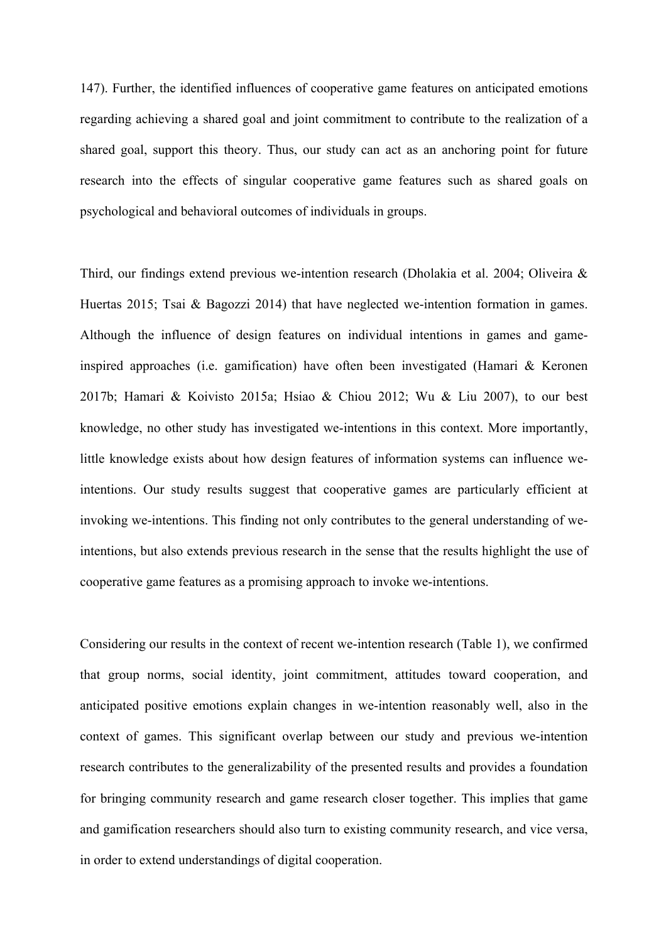147). Further, the identified influences of cooperative game features on anticipated emotions regarding achieving a shared goal and joint commitment to contribute to the realization of a shared goal, support this theory. Thus, our study can act as an anchoring point for future research into the effects of singular cooperative game features such as shared goals on psychological and behavioral outcomes of individuals in groups.

Third, our findings extend previous we-intention research (Dholakia et al. 2004; Oliveira & Huertas 2015; Tsai & Bagozzi 2014) that have neglected we-intention formation in games. Although the influence of design features on individual intentions in games and gameinspired approaches (i.e. gamification) have often been investigated (Hamari & Keronen 2017b; Hamari & Koivisto 2015a; Hsiao & Chiou 2012; Wu & Liu 2007), to our best knowledge, no other study has investigated we-intentions in this context. More importantly, little knowledge exists about how design features of information systems can influence weintentions. Our study results suggest that cooperative games are particularly efficient at invoking we-intentions. This finding not only contributes to the general understanding of weintentions, but also extends previous research in the sense that the results highlight the use of cooperative game features as a promising approach to invoke we-intentions.

Considering our results in the context of recent we-intention research (Table 1), we confirmed that group norms, social identity, joint commitment, attitudes toward cooperation, and anticipated positive emotions explain changes in we-intention reasonably well, also in the context of games. This significant overlap between our study and previous we-intention research contributes to the generalizability of the presented results and provides a foundation for bringing community research and game research closer together. This implies that game and gamification researchers should also turn to existing community research, and vice versa, in order to extend understandings of digital cooperation.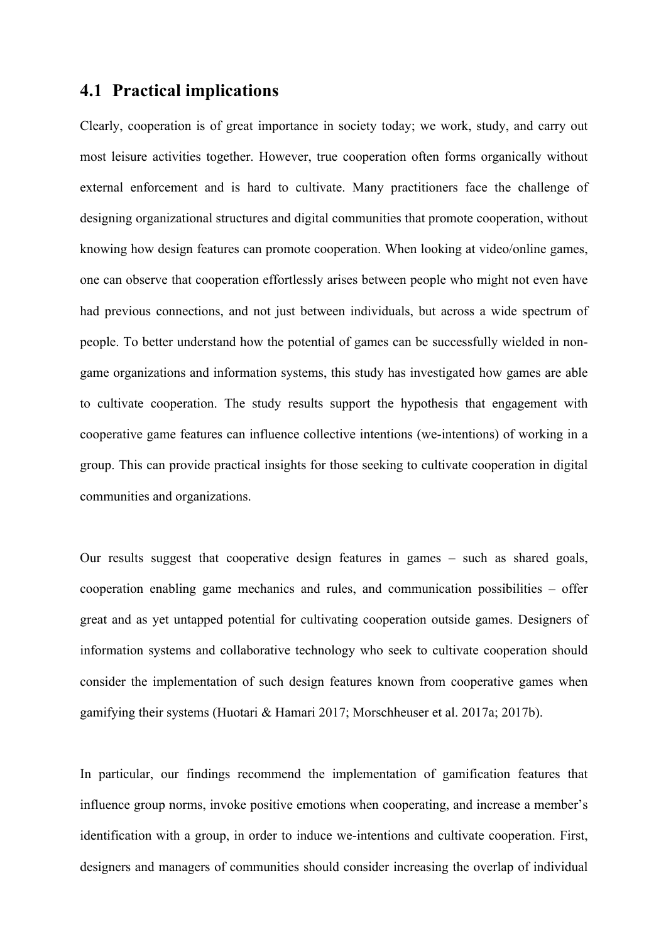### **4.1 Practical implications**

Clearly, cooperation is of great importance in society today; we work, study, and carry out most leisure activities together. However, true cooperation often forms organically without external enforcement and is hard to cultivate. Many practitioners face the challenge of designing organizational structures and digital communities that promote cooperation, without knowing how design features can promote cooperation. When looking at video/online games, one can observe that cooperation effortlessly arises between people who might not even have had previous connections, and not just between individuals, but across a wide spectrum of people. To better understand how the potential of games can be successfully wielded in nongame organizations and information systems, this study has investigated how games are able to cultivate cooperation. The study results support the hypothesis that engagement with cooperative game features can influence collective intentions (we-intentions) of working in a group. This can provide practical insights for those seeking to cultivate cooperation in digital communities and organizations.

Our results suggest that cooperative design features in games – such as shared goals, cooperation enabling game mechanics and rules, and communication possibilities – offer great and as yet untapped potential for cultivating cooperation outside games. Designers of information systems and collaborative technology who seek to cultivate cooperation should consider the implementation of such design features known from cooperative games when gamifying their systems (Huotari & Hamari 2017; Morschheuser et al. 2017a; 2017b).

In particular, our findings recommend the implementation of gamification features that influence group norms, invoke positive emotions when cooperating, and increase a member's identification with a group, in order to induce we-intentions and cultivate cooperation. First, designers and managers of communities should consider increasing the overlap of individual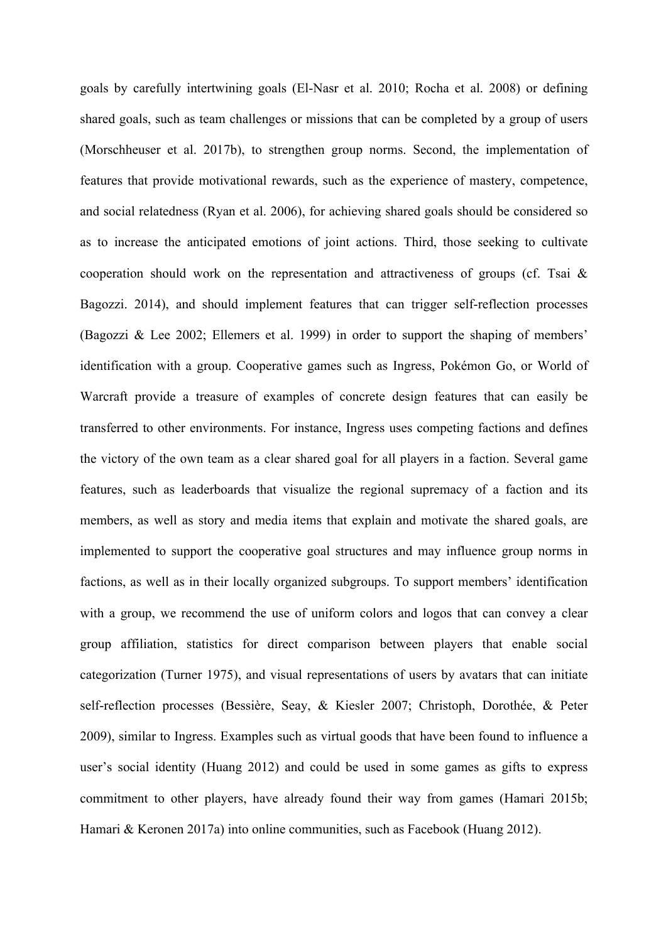goals by carefully intertwining goals (El-Nasr et al. 2010; Rocha et al. 2008) or defining shared goals, such as team challenges or missions that can be completed by a group of users (Morschheuser et al. 2017b), to strengthen group norms. Second, the implementation of features that provide motivational rewards, such as the experience of mastery, competence, and social relatedness (Ryan et al. 2006), for achieving shared goals should be considered so as to increase the anticipated emotions of joint actions. Third, those seeking to cultivate cooperation should work on the representation and attractiveness of groups (cf. Tsai & Bagozzi. 2014), and should implement features that can trigger self-reflection processes (Bagozzi & Lee 2002; Ellemers et al. 1999) in order to support the shaping of members' identification with a group. Cooperative games such as Ingress, Pokémon Go, or World of Warcraft provide a treasure of examples of concrete design features that can easily be transferred to other environments. For instance, Ingress uses competing factions and defines the victory of the own team as a clear shared goal for all players in a faction. Several game features, such as leaderboards that visualize the regional supremacy of a faction and its members, as well as story and media items that explain and motivate the shared goals, are implemented to support the cooperative goal structures and may influence group norms in factions, as well as in their locally organized subgroups. To support members' identification with a group, we recommend the use of uniform colors and logos that can convey a clear group affiliation, statistics for direct comparison between players that enable social categorization (Turner 1975), and visual representations of users by avatars that can initiate self-reflection processes (Bessière, Seay, & Kiesler 2007; Christoph, Dorothée, & Peter 2009), similar to Ingress. Examples such as virtual goods that have been found to influence a user's social identity (Huang 2012) and could be used in some games as gifts to express commitment to other players, have already found their way from games (Hamari 2015b; Hamari & Keronen 2017a) into online communities, such as Facebook (Huang 2012).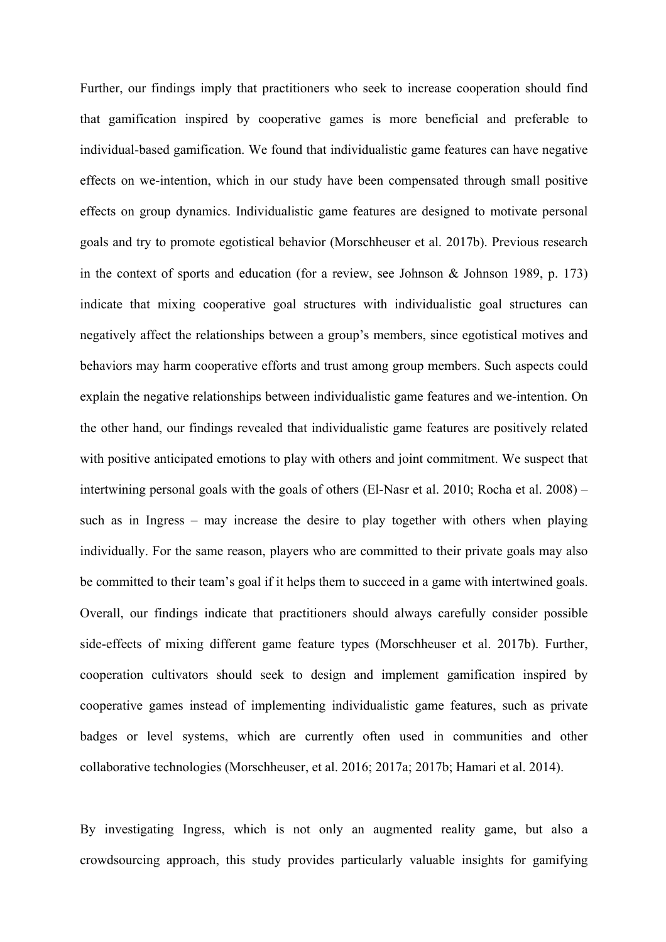Further, our findings imply that practitioners who seek to increase cooperation should find that gamification inspired by cooperative games is more beneficial and preferable to individual-based gamification. We found that individualistic game features can have negative effects on we-intention, which in our study have been compensated through small positive effects on group dynamics. Individualistic game features are designed to motivate personal goals and try to promote egotistical behavior (Morschheuser et al. 2017b). Previous research in the context of sports and education (for a review, see Johnson  $\&$  Johnson 1989, p. 173) indicate that mixing cooperative goal structures with individualistic goal structures can negatively affect the relationships between a group's members, since egotistical motives and behaviors may harm cooperative efforts and trust among group members. Such aspects could explain the negative relationships between individualistic game features and we-intention. On the other hand, our findings revealed that individualistic game features are positively related with positive anticipated emotions to play with others and joint commitment. We suspect that intertwining personal goals with the goals of others (El-Nasr et al. 2010; Rocha et al. 2008) – such as in Ingress – may increase the desire to play together with others when playing individually. For the same reason, players who are committed to their private goals may also be committed to their team's goal if it helps them to succeed in a game with intertwined goals. Overall, our findings indicate that practitioners should always carefully consider possible side-effects of mixing different game feature types (Morschheuser et al. 2017b). Further, cooperation cultivators should seek to design and implement gamification inspired by cooperative games instead of implementing individualistic game features, such as private badges or level systems, which are currently often used in communities and other collaborative technologies (Morschheuser, et al. 2016; 2017a; 2017b; Hamari et al. 2014).

By investigating Ingress, which is not only an augmented reality game, but also a crowdsourcing approach, this study provides particularly valuable insights for gamifying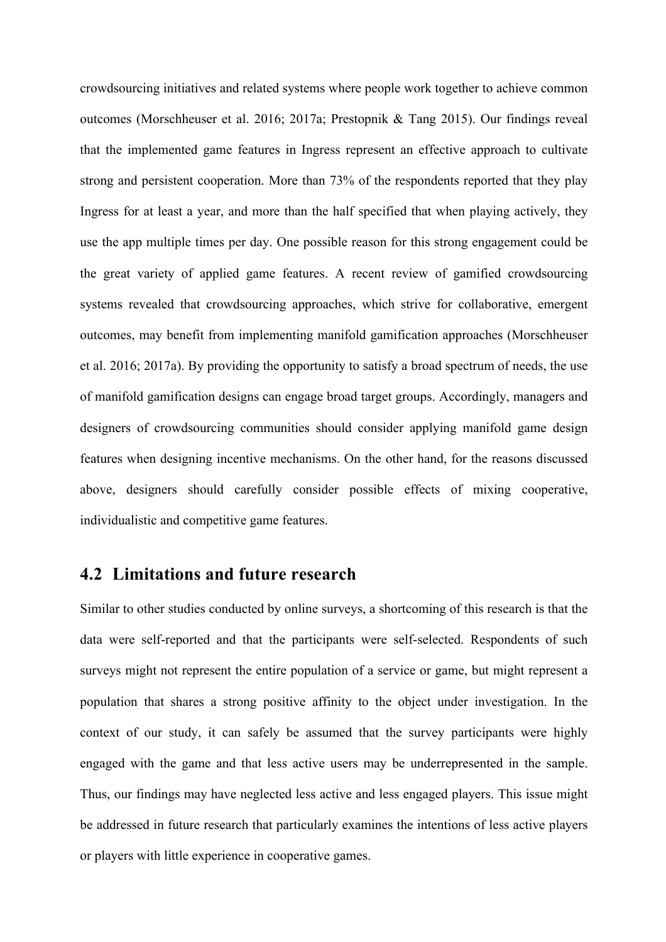crowdsourcing initiatives and related systems where people work together to achieve common outcomes (Morschheuser et al. 2016; 2017a; Prestopnik & Tang 2015). Our findings reveal that the implemented game features in Ingress represent an effective approach to cultivate strong and persistent cooperation. More than 73% of the respondents reported that they play Ingress for at least a year, and more than the half specified that when playing actively, they use the app multiple times per day. One possible reason for this strong engagement could be the great variety of applied game features. A recent review of gamified crowdsourcing systems revealed that crowdsourcing approaches, which strive for collaborative, emergent outcomes, may benefit from implementing manifold gamification approaches (Morschheuser et al. 2016; 2017a). By providing the opportunity to satisfy a broad spectrum of needs, the use of manifold gamification designs can engage broad target groups. Accordingly, managers and designers of crowdsourcing communities should consider applying manifold game design features when designing incentive mechanisms. On the other hand, for the reasons discussed above, designers should carefully consider possible effects of mixing cooperative, individualistic and competitive game features.

#### **4.2 Limitations and future research**

Similar to other studies conducted by online surveys, a shortcoming of this research is that the data were self-reported and that the participants were self-selected. Respondents of such surveys might not represent the entire population of a service or game, but might represent a population that shares a strong positive affinity to the object under investigation. In the context of our study, it can safely be assumed that the survey participants were highly engaged with the game and that less active users may be underrepresented in the sample. Thus, our findings may have neglected less active and less engaged players. This issue might be addressed in future research that particularly examines the intentions of less active players or players with little experience in cooperative games.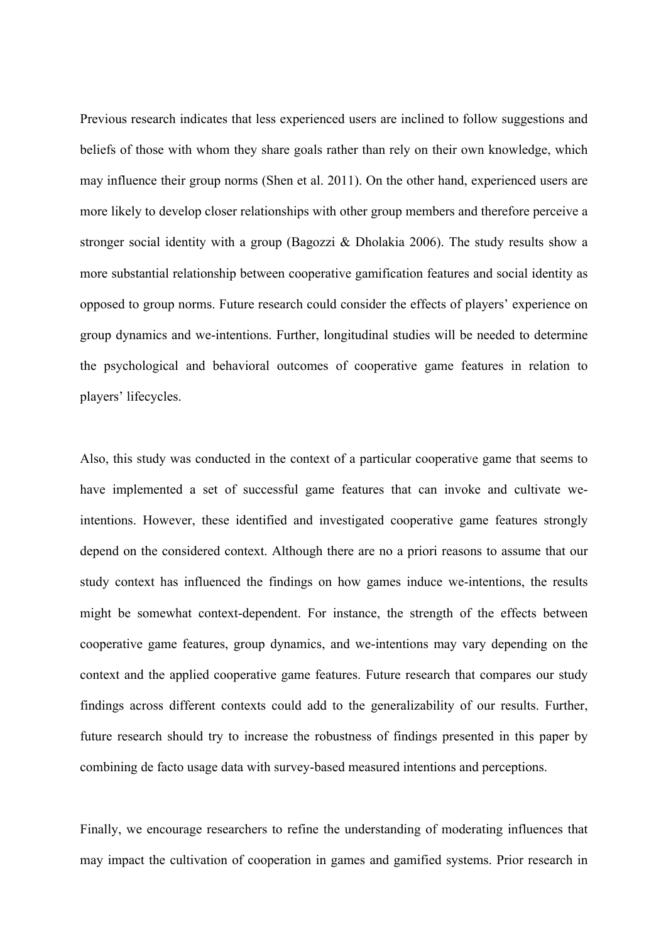Previous research indicates that less experienced users are inclined to follow suggestions and beliefs of those with whom they share goals rather than rely on their own knowledge, which may influence their group norms (Shen et al. 2011). On the other hand, experienced users are more likely to develop closer relationships with other group members and therefore perceive a stronger social identity with a group (Bagozzi & Dholakia 2006). The study results show a more substantial relationship between cooperative gamification features and social identity as opposed to group norms. Future research could consider the effects of players' experience on group dynamics and we-intentions. Further, longitudinal studies will be needed to determine the psychological and behavioral outcomes of cooperative game features in relation to players' lifecycles.

Also, this study was conducted in the context of a particular cooperative game that seems to have implemented a set of successful game features that can invoke and cultivate weintentions. However, these identified and investigated cooperative game features strongly depend on the considered context. Although there are no a priori reasons to assume that our study context has influenced the findings on how games induce we-intentions, the results might be somewhat context-dependent. For instance, the strength of the effects between cooperative game features, group dynamics, and we-intentions may vary depending on the context and the applied cooperative game features. Future research that compares our study findings across different contexts could add to the generalizability of our results. Further, future research should try to increase the robustness of findings presented in this paper by combining de facto usage data with survey-based measured intentions and perceptions.

Finally, we encourage researchers to refine the understanding of moderating influences that may impact the cultivation of cooperation in games and gamified systems. Prior research in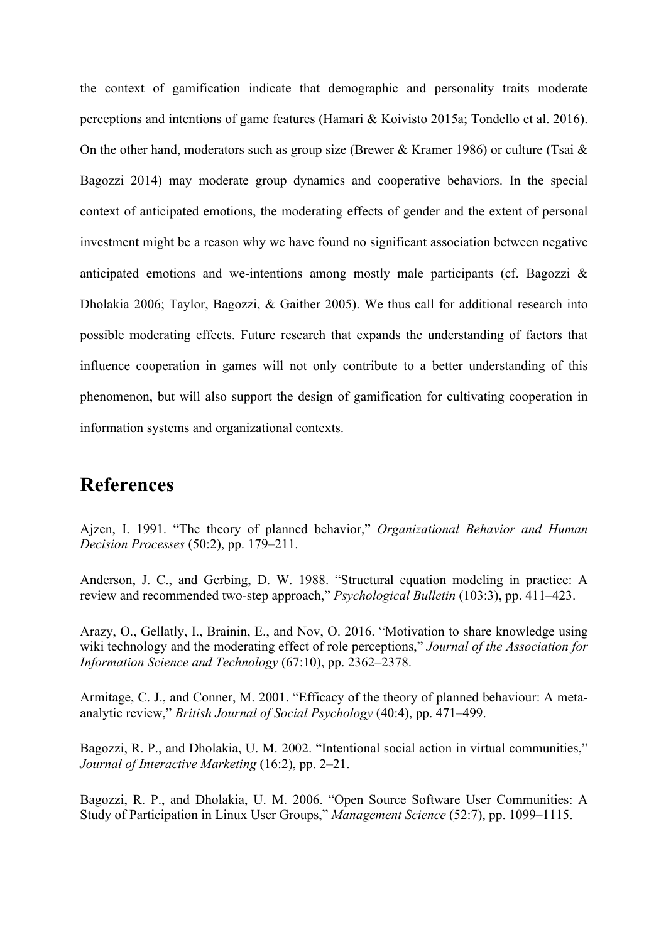the context of gamification indicate that demographic and personality traits moderate perceptions and intentions of game features (Hamari & Koivisto 2015a; Tondello et al. 2016). On the other hand, moderators such as group size (Brewer & Kramer 1986) or culture (Tsai & Bagozzi 2014) may moderate group dynamics and cooperative behaviors. In the special context of anticipated emotions, the moderating effects of gender and the extent of personal investment might be a reason why we have found no significant association between negative anticipated emotions and we-intentions among mostly male participants (cf. Bagozzi & Dholakia 2006; Taylor, Bagozzi, & Gaither 2005). We thus call for additional research into possible moderating effects. Future research that expands the understanding of factors that influence cooperation in games will not only contribute to a better understanding of this phenomenon, but will also support the design of gamification for cultivating cooperation in information systems and organizational contexts.

## **References**

Ajzen, I. 1991. "The theory of planned behavior," *Organizational Behavior and Human Decision Processes* (50:2), pp. 179–211.

Anderson, J. C., and Gerbing, D. W. 1988. "Structural equation modeling in practice: A review and recommended two-step approach," *Psychological Bulletin* (103:3), pp. 411–423.

Arazy, O., Gellatly, I., Brainin, E., and Nov, O. 2016. "Motivation to share knowledge using wiki technology and the moderating effect of role perceptions," *Journal of the Association for Information Science and Technology* (67:10), pp. 2362–2378.

Armitage, C. J., and Conner, M. 2001. "Efficacy of the theory of planned behaviour: A metaanalytic review," *British Journal of Social Psychology* (40:4), pp. 471–499.

Bagozzi, R. P., and Dholakia, U. M. 2002. "Intentional social action in virtual communities," *Journal of Interactive Marketing* (16:2), pp. 2–21.

Bagozzi, R. P., and Dholakia, U. M. 2006. "Open Source Software User Communities: A Study of Participation in Linux User Groups," *Management Science* (52:7), pp. 1099–1115.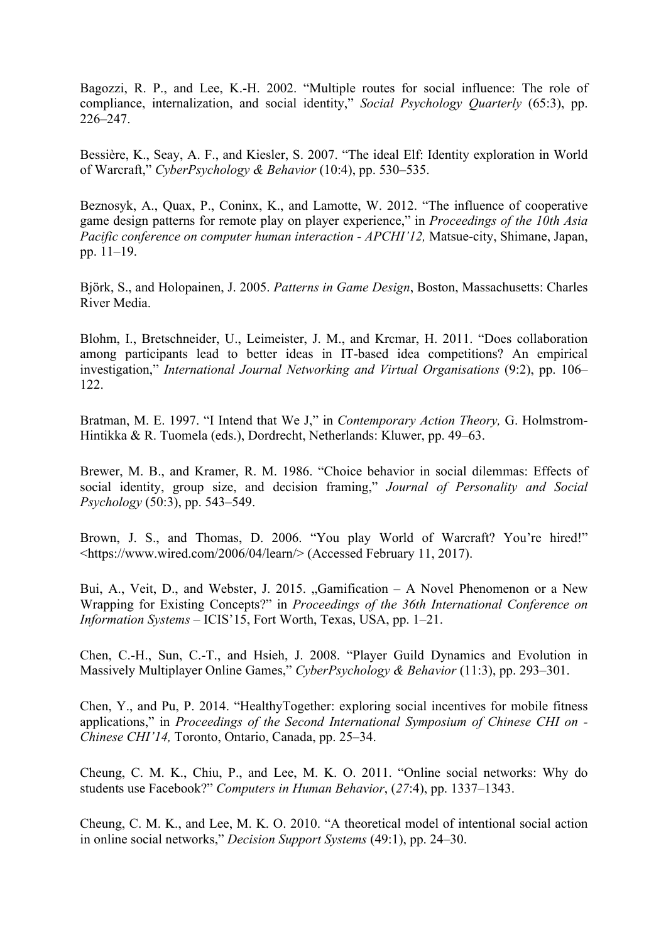Bagozzi, R. P., and Lee, K.-H. 2002. "Multiple routes for social influence: The role of compliance, internalization, and social identity," *Social Psychology Quarterly* (65:3), pp. 226–247.

Bessière, K., Seay, A. F., and Kiesler, S. 2007. "The ideal Elf: Identity exploration in World of Warcraft," *CyberPsychology & Behavior* (10:4), pp. 530–535.

Beznosyk, A., Quax, P., Coninx, K., and Lamotte, W. 2012. "The influence of cooperative game design patterns for remote play on player experience," in *Proceedings of the 10th Asia Pacific conference on computer human interaction - APCHI'12,* Matsue-city, Shimane, Japan, pp. 11–19.

Björk, S., and Holopainen, J. 2005. *Patterns in Game Design*, Boston, Massachusetts: Charles River Media.

Blohm, I., Bretschneider, U., Leimeister, J. M., and Krcmar, H. 2011. "Does collaboration among participants lead to better ideas in IT-based idea competitions? An empirical investigation," *International Journal Networking and Virtual Organisations* (9:2), pp. 106– 122.

Bratman, M. E. 1997. "I Intend that We J," in *Contemporary Action Theory,* G. Holmstrom-Hintikka & R. Tuomela (eds.), Dordrecht, Netherlands: Kluwer, pp. 49–63.

Brewer, M. B., and Kramer, R. M. 1986. "Choice behavior in social dilemmas: Effects of social identity, group size, and decision framing," *Journal of Personality and Social Psychology* (50:3), pp. 543–549.

Brown, J. S., and Thomas, D. 2006. "You play World of Warcraft? You're hired!" <https://www.wired.com/2006/04/learn/> (Accessed February 11, 2017).

Bui, A., Veit, D., and Webster, J. 2015. "Gamification – A Novel Phenomenon or a New Wrapping for Existing Concepts?" in *Proceedings of the 36th International Conference on Information Systems* – ICIS'15, Fort Worth, Texas, USA, pp. 1–21.

Chen, C.-H., Sun, C.-T., and Hsieh, J. 2008. "Player Guild Dynamics and Evolution in Massively Multiplayer Online Games," *CyberPsychology & Behavior* (11:3), pp. 293–301.

Chen, Y., and Pu, P. 2014. "HealthyTogether: exploring social incentives for mobile fitness applications," in *Proceedings of the Second International Symposium of Chinese CHI on - Chinese CHI'14,* Toronto, Ontario, Canada, pp. 25–34.

Cheung, C. M. K., Chiu, P., and Lee, M. K. O. 2011. "Online social networks: Why do students use Facebook?" *Computers in Human Behavior*, (*27*:4), pp. 1337–1343.

Cheung, C. M. K., and Lee, M. K. O. 2010. "A theoretical model of intentional social action in online social networks," *Decision Support Systems* (49:1), pp. 24–30.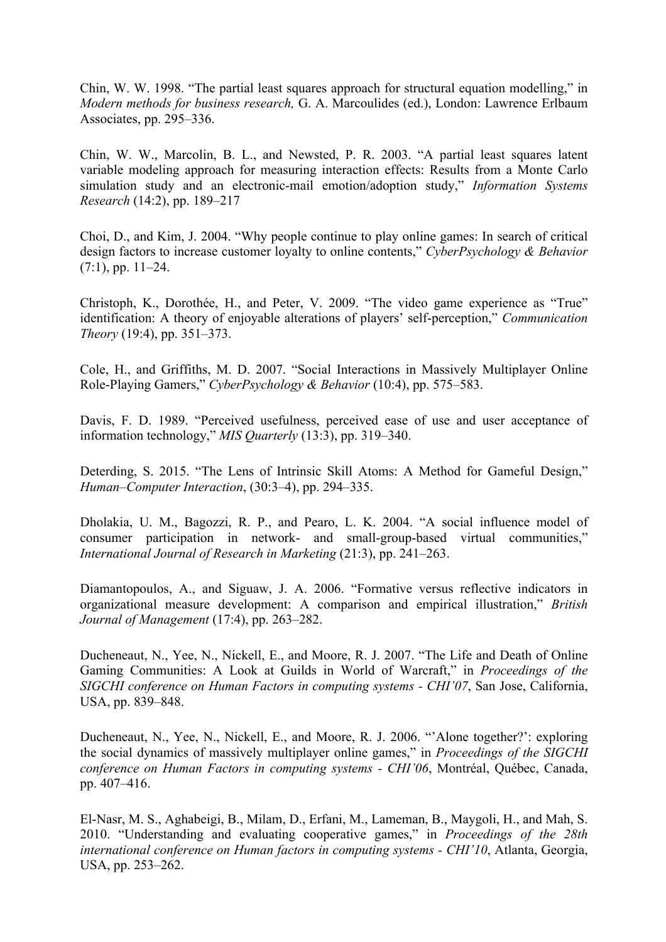Chin, W. W. 1998. "The partial least squares approach for structural equation modelling," in *Modern methods for business research,* G. A. Marcoulides (ed.), London: Lawrence Erlbaum Associates, pp. 295–336.

Chin, W. W., Marcolin, B. L., and Newsted, P. R. 2003. "A partial least squares latent variable modeling approach for measuring interaction effects: Results from a Monte Carlo simulation study and an electronic-mail emotion/adoption study," *Information Systems Research* (14:2), pp. 189–217

Choi, D., and Kim, J. 2004. "Why people continue to play online games: In search of critical design factors to increase customer loyalty to online contents," *CyberPsychology & Behavior*  $(7:1)$ , pp.  $11-24$ .

Christoph, K., Dorothée, H., and Peter, V. 2009. "The video game experience as "True" identification: A theory of enjoyable alterations of players' self-perception," *Communication Theory* (19:4), pp. 351–373.

Cole, H., and Griffiths, M. D. 2007. "Social Interactions in Massively Multiplayer Online Role-Playing Gamers," *CyberPsychology & Behavior* (10:4), pp. 575–583.

Davis, F. D. 1989. "Perceived usefulness, perceived ease of use and user acceptance of information technology," *MIS Quarterly* (13:3), pp. 319–340.

Deterding, S. 2015. "The Lens of Intrinsic Skill Atoms: A Method for Gameful Design," *Human–Computer Interaction*, (30:3–4), pp. 294–335.

Dholakia, U. M., Bagozzi, R. P., and Pearo, L. K. 2004. "A social influence model of consumer participation in network- and small-group-based virtual communities," *International Journal of Research in Marketing* (21:3), pp. 241–263.

Diamantopoulos, A., and Siguaw, J. A. 2006. "Formative versus reflective indicators in organizational measure development: A comparison and empirical illustration," *British Journal of Management* (17:4), pp. 263–282.

Ducheneaut, N., Yee, N., Nickell, E., and Moore, R. J. 2007. "The Life and Death of Online Gaming Communities: A Look at Guilds in World of Warcraft," in *Proceedings of the SIGCHI conference on Human Factors in computing systems - CHI'07*, San Jose, California, USA, pp. 839–848.

Ducheneaut, N., Yee, N., Nickell, E., and Moore, R. J. 2006. "'Alone together?': exploring the social dynamics of massively multiplayer online games," in *Proceedings of the SIGCHI conference on Human Factors in computing systems - CHI'06*, Montréal, Québec, Canada, pp. 407–416.

El-Nasr, M. S., Aghabeigi, B., Milam, D., Erfani, M., Lameman, B., Maygoli, H., and Mah, S. 2010. "Understanding and evaluating cooperative games," in *Proceedings of the 28th international conference on Human factors in computing systems - CHI'10*, Atlanta, Georgia, USA, pp. 253–262.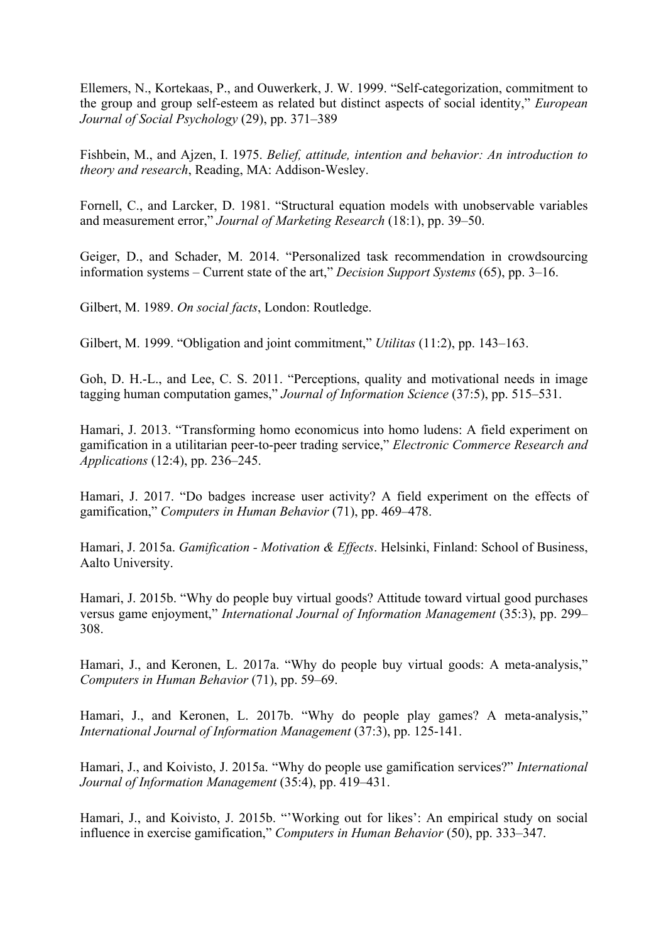Ellemers, N., Kortekaas, P., and Ouwerkerk, J. W. 1999. "Self-categorization, commitment to the group and group self-esteem as related but distinct aspects of social identity," *European Journal of Social Psychology* (29), pp. 371–389

Fishbein, M., and Ajzen, I. 1975. *Belief, attitude, intention and behavior: An introduction to theory and research*, Reading, MA: Addison-Wesley.

Fornell, C., and Larcker, D. 1981. "Structural equation models with unobservable variables and measurement error," *Journal of Marketing Research* (18:1), pp. 39–50.

Geiger, D., and Schader, M. 2014. "Personalized task recommendation in crowdsourcing information systems – Current state of the art," *Decision Support Systems* (65), pp. 3–16.

Gilbert, M. 1989. *On social facts*, London: Routledge.

Gilbert, M. 1999. "Obligation and joint commitment," *Utilitas* (11:2), pp. 143–163.

Goh, D. H.-L., and Lee, C. S. 2011. "Perceptions, quality and motivational needs in image tagging human computation games," *Journal of Information Science* (37:5), pp. 515–531.

Hamari, J. 2013. "Transforming homo economicus into homo ludens: A field experiment on gamification in a utilitarian peer-to-peer trading service," *Electronic Commerce Research and Applications* (12:4), pp. 236–245.

Hamari, J. 2017. "Do badges increase user activity? A field experiment on the effects of gamification," *Computers in Human Behavior* (71), pp. 469–478.

Hamari, J. 2015a. *Gamification - Motivation & Effects*. Helsinki, Finland: School of Business, Aalto University.

Hamari, J. 2015b. "Why do people buy virtual goods? Attitude toward virtual good purchases versus game enjoyment," *International Journal of Information Management* (35:3), pp. 299– 308.

Hamari, J., and Keronen, L. 2017a. "Why do people buy virtual goods: A meta-analysis," *Computers in Human Behavior* (71), pp. 59–69.

Hamari, J., and Keronen, L. 2017b. "Why do people play games? A meta-analysis," *International Journal of Information Management* (37:3), pp. 125-141.

Hamari, J., and Koivisto, J. 2015a. "Why do people use gamification services?" *International Journal of Information Management* (35:4), pp. 419–431.

Hamari, J., and Koivisto, J. 2015b. "'Working out for likes': An empirical study on social influence in exercise gamification," *Computers in Human Behavior* (50), pp. 333–347.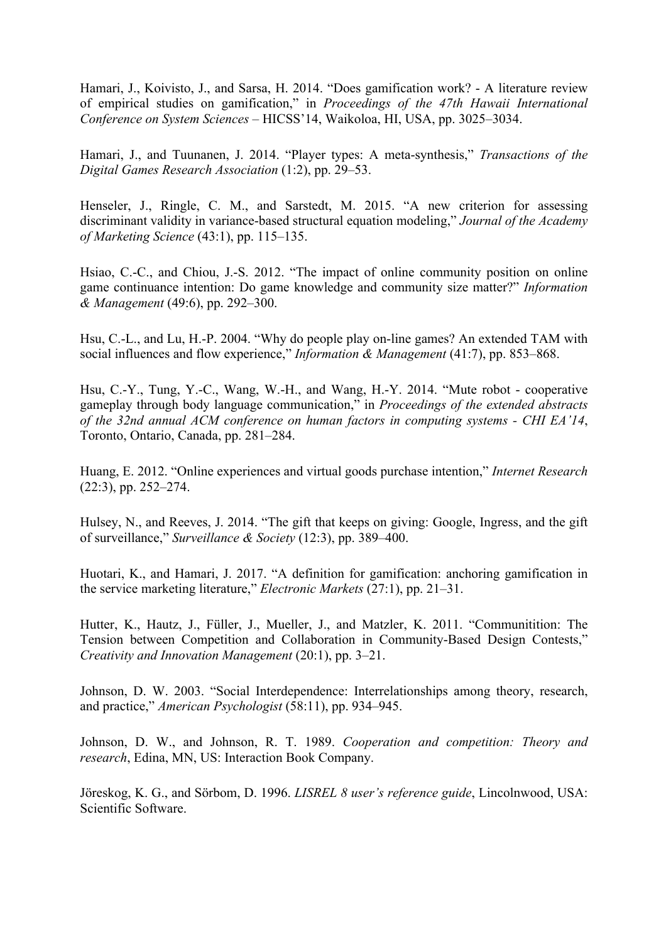Hamari, J., Koivisto, J., and Sarsa, H. 2014. "Does gamification work? - A literature review of empirical studies on gamification," in *Proceedings of the 47th Hawaii International Conference on System Sciences* – HICSS'14, Waikoloa, HI, USA, pp. 3025–3034.

Hamari, J., and Tuunanen, J. 2014. "Player types: A meta-synthesis," *Transactions of the Digital Games Research Association* (1:2), pp. 29–53.

Henseler, J., Ringle, C. M., and Sarstedt, M. 2015. "A new criterion for assessing discriminant validity in variance-based structural equation modeling," *Journal of the Academy of Marketing Science* (43:1), pp. 115–135.

Hsiao, C.-C., and Chiou, J.-S. 2012. "The impact of online community position on online game continuance intention: Do game knowledge and community size matter?" *Information & Management* (49:6), pp. 292–300.

Hsu, C.-L., and Lu, H.-P. 2004. "Why do people play on-line games? An extended TAM with social influences and flow experience," *Information & Management* (41:7), pp. 853–868.

Hsu, C.-Y., Tung, Y.-C., Wang, W.-H., and Wang, H.-Y. 2014. "Mute robot - cooperative gameplay through body language communication," in *Proceedings of the extended abstracts of the 32nd annual ACM conference on human factors in computing systems - CHI EA'14*, Toronto, Ontario, Canada, pp. 281–284.

Huang, E. 2012. "Online experiences and virtual goods purchase intention," *Internet Research* (22:3), pp. 252–274.

Hulsey, N., and Reeves, J. 2014. "The gift that keeps on giving: Google, Ingress, and the gift of surveillance," *Surveillance & Society* (12:3), pp. 389–400.

Huotari, K., and Hamari, J. 2017. "A definition for gamification: anchoring gamification in the service marketing literature," *Electronic Markets* (27:1), pp. 21–31.

Hutter, K., Hautz, J., Füller, J., Mueller, J., and Matzler, K. 2011. "Communitition: The Tension between Competition and Collaboration in Community-Based Design Contests," *Creativity and Innovation Management* (20:1), pp. 3–21.

Johnson, D. W. 2003. "Social Interdependence: Interrelationships among theory, research, and practice," *American Psychologist* (58:11), pp. 934–945.

Johnson, D. W., and Johnson, R. T. 1989. *Cooperation and competition: Theory and research*, Edina, MN, US: Interaction Book Company.

Jöreskog, K. G., and Sörbom, D. 1996. *LISREL 8 user's reference guide*, Lincolnwood, USA: Scientific Software.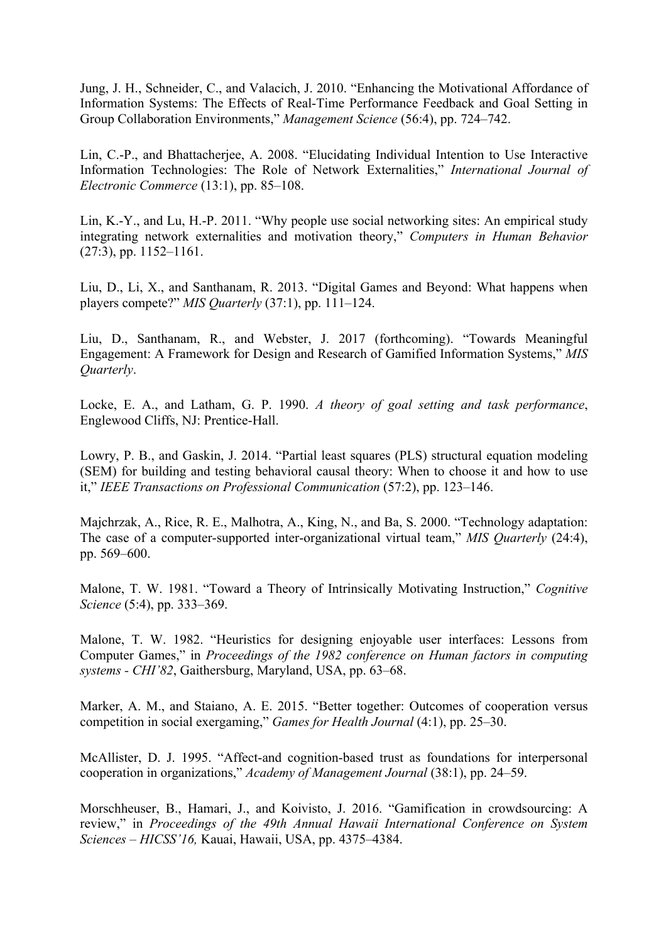Jung, J. H., Schneider, C., and Valacich, J. 2010. "Enhancing the Motivational Affordance of Information Systems: The Effects of Real-Time Performance Feedback and Goal Setting in Group Collaboration Environments," *Management Science* (56:4), pp. 724–742.

Lin, C.-P., and Bhattacherjee, A. 2008. "Elucidating Individual Intention to Use Interactive Information Technologies: The Role of Network Externalities," *International Journal of Electronic Commerce* (13:1), pp. 85–108.

Lin, K.-Y., and Lu, H.-P. 2011. "Why people use social networking sites: An empirical study integrating network externalities and motivation theory," *Computers in Human Behavior* (27:3), pp. 1152–1161.

Liu, D., Li, X., and Santhanam, R. 2013. "Digital Games and Beyond: What happens when players compete?" *MIS Quarterly* (37:1), pp. 111–124.

Liu, D., Santhanam, R., and Webster, J. 2017 (forthcoming). "Towards Meaningful Engagement: A Framework for Design and Research of Gamified Information Systems," *MIS Quarterly*.

Locke, E. A., and Latham, G. P. 1990. *A theory of goal setting and task performance*, Englewood Cliffs, NJ: Prentice-Hall.

Lowry, P. B., and Gaskin, J. 2014. "Partial least squares (PLS) structural equation modeling (SEM) for building and testing behavioral causal theory: When to choose it and how to use it," *IEEE Transactions on Professional Communication* (57:2), pp. 123–146.

Majchrzak, A., Rice, R. E., Malhotra, A., King, N., and Ba, S. 2000. "Technology adaptation: The case of a computer-supported inter-organizational virtual team," *MIS Quarterly* (24:4), pp. 569–600.

Malone, T. W. 1981. "Toward a Theory of Intrinsically Motivating Instruction," *Cognitive Science* (5:4), pp. 333–369.

Malone, T. W. 1982. "Heuristics for designing enjoyable user interfaces: Lessons from Computer Games," in *Proceedings of the 1982 conference on Human factors in computing systems - CHI'82*, Gaithersburg, Maryland, USA, pp. 63–68.

Marker, A. M., and Staiano, A. E. 2015. "Better together: Outcomes of cooperation versus competition in social exergaming," *Games for Health Journal* (4:1), pp. 25–30.

McAllister, D. J. 1995. "Affect-and cognition-based trust as foundations for interpersonal cooperation in organizations," *Academy of Management Journal* (38:1), pp. 24–59.

Morschheuser, B., Hamari, J., and Koivisto, J. 2016. "Gamification in crowdsourcing: A review," in *Proceedings of the 49th Annual Hawaii International Conference on System Sciences – HICSS'16,* Kauai, Hawaii, USA, pp. 4375–4384.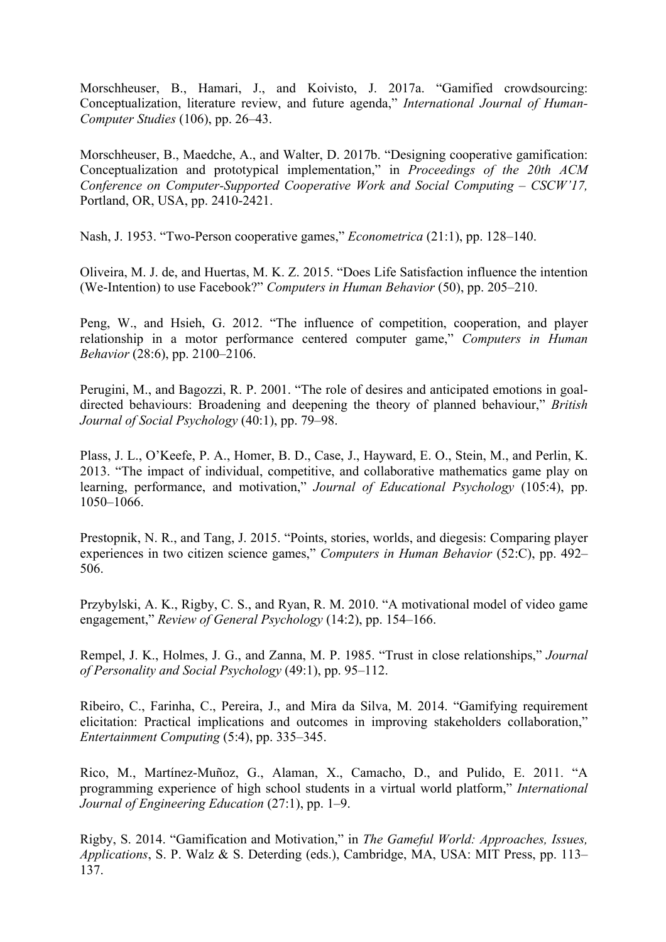Morschheuser, B., Hamari, J., and Koivisto, J. 2017a. "Gamified crowdsourcing: Conceptualization, literature review, and future agenda," *International Journal of Human-Computer Studies* (106), pp. 26–43.

Morschheuser, B., Maedche, A., and Walter, D. 2017b. "Designing cooperative gamification: Conceptualization and prototypical implementation," in *Proceedings of the 20th ACM Conference on Computer-Supported Cooperative Work and Social Computing – CSCW'17,*  Portland, OR, USA, pp. 2410-2421.

Nash, J. 1953. "Two-Person cooperative games," *Econometrica* (21:1), pp. 128–140.

Oliveira, M. J. de, and Huertas, M. K. Z. 2015. "Does Life Satisfaction influence the intention (We-Intention) to use Facebook?" *Computers in Human Behavior* (50), pp. 205–210.

Peng, W., and Hsieh, G. 2012. "The influence of competition, cooperation, and player relationship in a motor performance centered computer game," *Computers in Human Behavior* (28:6), pp. 2100–2106.

Perugini, M., and Bagozzi, R. P. 2001. "The role of desires and anticipated emotions in goaldirected behaviours: Broadening and deepening the theory of planned behaviour," *British Journal of Social Psychology* (40:1), pp. 79–98.

Plass, J. L., O'Keefe, P. A., Homer, B. D., Case, J., Hayward, E. O., Stein, M., and Perlin, K. 2013. "The impact of individual, competitive, and collaborative mathematics game play on learning, performance, and motivation," *Journal of Educational Psychology* (105:4), pp. 1050–1066.

Prestopnik, N. R., and Tang, J. 2015. "Points, stories, worlds, and diegesis: Comparing player experiences in two citizen science games," *Computers in Human Behavior* (52:C), pp. 492– 506.

Przybylski, A. K., Rigby, C. S., and Ryan, R. M. 2010. "A motivational model of video game engagement," *Review of General Psychology* (14:2), pp. 154–166.

Rempel, J. K., Holmes, J. G., and Zanna, M. P. 1985. "Trust in close relationships," *Journal of Personality and Social Psychology* (49:1), pp. 95–112.

Ribeiro, C., Farinha, C., Pereira, J., and Mira da Silva, M. 2014. "Gamifying requirement elicitation: Practical implications and outcomes in improving stakeholders collaboration," *Entertainment Computing* (5:4), pp. 335–345.

Rico, M., Martínez-Muñoz, G., Alaman, X., Camacho, D., and Pulido, E. 2011. "A programming experience of high school students in a virtual world platform," *International Journal of Engineering Education* (27:1), pp. 1–9.

Rigby, S. 2014. "Gamification and Motivation," in *The Gameful World: Approaches, Issues, Applications*, S. P. Walz & S. Deterding (eds.), Cambridge, MA, USA: MIT Press, pp. 113– 137.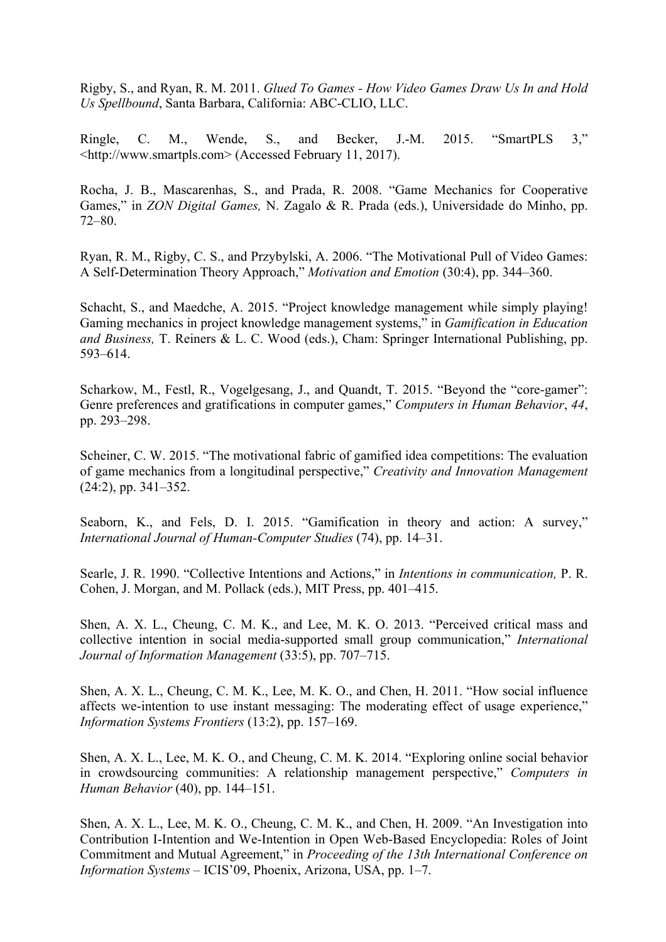Rigby, S., and Ryan, R. M. 2011. *Glued To Games - How Video Games Draw Us In and Hold Us Spellbound*, Santa Barbara, California: ABC-CLIO, LLC.

Ringle, C. M., Wende, S., and Becker, J.-M. 2015. "SmartPLS 3," <http://www.smartpls.com> (Accessed February 11, 2017).

Rocha, J. B., Mascarenhas, S., and Prada, R. 2008. "Game Mechanics for Cooperative Games," in *ZON Digital Games,* N. Zagalo & R. Prada (eds.), Universidade do Minho, pp. 72–80.

Ryan, R. M., Rigby, C. S., and Przybylski, A. 2006. "The Motivational Pull of Video Games: A Self-Determination Theory Approach," *Motivation and Emotion* (30:4), pp. 344–360.

Schacht, S., and Maedche, A. 2015. "Project knowledge management while simply playing! Gaming mechanics in project knowledge management systems," in *Gamification in Education and Business,* T. Reiners & L. C. Wood (eds.), Cham: Springer International Publishing, pp. 593–614.

Scharkow, M., Festl, R., Vogelgesang, J., and Quandt, T. 2015. "Beyond the "core-gamer": Genre preferences and gratifications in computer games," *Computers in Human Behavior*, *44*, pp. 293–298.

Scheiner, C. W. 2015. "The motivational fabric of gamified idea competitions: The evaluation of game mechanics from a longitudinal perspective," *Creativity and Innovation Management* (24:2), pp. 341–352.

Seaborn, K., and Fels, D. I. 2015. "Gamification in theory and action: A survey," *International Journal of Human-Computer Studies* (74), pp. 14–31.

Searle, J. R. 1990. "Collective Intentions and Actions," in *Intentions in communication,* P. R. Cohen, J. Morgan, and M. Pollack (eds.), MIT Press, pp. 401–415.

Shen, A. X. L., Cheung, C. M. K., and Lee, M. K. O. 2013. "Perceived critical mass and collective intention in social media-supported small group communication," *International Journal of Information Management* (33:5), pp. 707–715.

Shen, A. X. L., Cheung, C. M. K., Lee, M. K. O., and Chen, H. 2011. "How social influence affects we-intention to use instant messaging: The moderating effect of usage experience," *Information Systems Frontiers* (13:2), pp. 157–169.

Shen, A. X. L., Lee, M. K. O., and Cheung, C. M. K. 2014. "Exploring online social behavior in crowdsourcing communities: A relationship management perspective," *Computers in Human Behavior* (40), pp. 144–151.

Shen, A. X. L., Lee, M. K. O., Cheung, C. M. K., and Chen, H. 2009. "An Investigation into Contribution I-Intention and We-Intention in Open Web-Based Encyclopedia: Roles of Joint Commitment and Mutual Agreement," in *Proceeding of the 13th International Conference on Information Systems* – ICIS'09, Phoenix, Arizona, USA, pp. 1–7.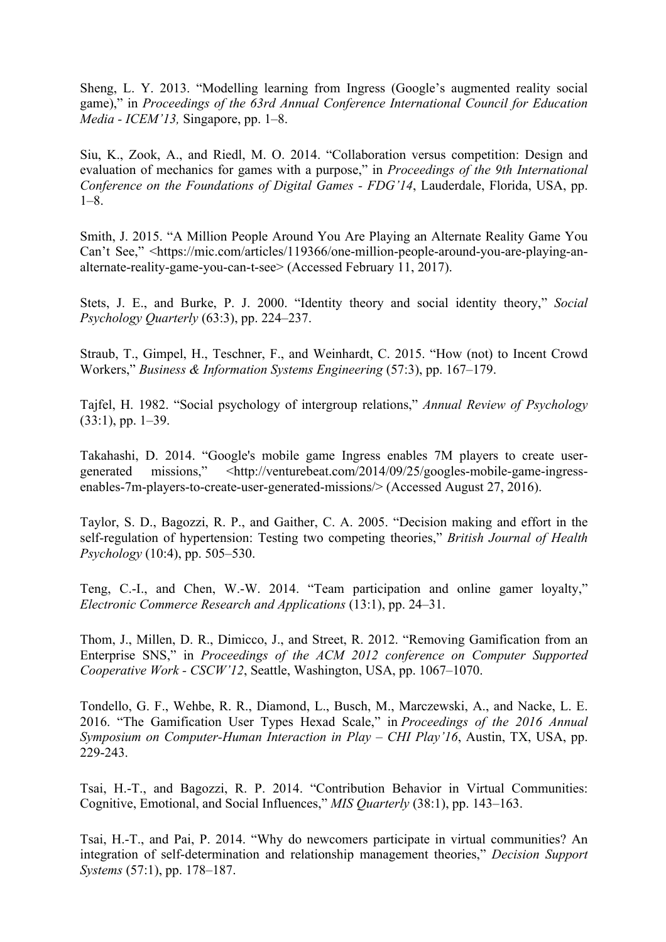Sheng, L. Y. 2013. "Modelling learning from Ingress (Google's augmented reality social game)," in *Proceedings of the 63rd Annual Conference International Council for Education Media - ICEM'13,* Singapore, pp. 1–8.

Siu, K., Zook, A., and Riedl, M. O. 2014. "Collaboration versus competition: Design and evaluation of mechanics for games with a purpose," in *Proceedings of the 9th International Conference on the Foundations of Digital Games - FDG'14*, Lauderdale, Florida, USA, pp. 1–8.

Smith, J. 2015. "A Million People Around You Are Playing an Alternate Reality Game You Can't See," <https://mic.com/articles/119366/one-million-people-around-you-are-playing-analternate-reality-game-you-can-t-see> (Accessed February 11, 2017).

Stets, J. E., and Burke, P. J. 2000. "Identity theory and social identity theory," *Social Psychology Quarterly* (63:3), pp. 224–237.

Straub, T., Gimpel, H., Teschner, F., and Weinhardt, C. 2015. "How (not) to Incent Crowd Workers," *Business & Information Systems Engineering* (57:3), pp. 167–179.

Tajfel, H. 1982. "Social psychology of intergroup relations," *Annual Review of Psychology* (33:1), pp. 1–39.

Takahashi, D. 2014. "Google's mobile game Ingress enables 7M players to create usergenerated missions," <http://venturebeat.com/2014/09/25/googles-mobile-game-ingressenables-7m-players-to-create-user-generated-missions/> (Accessed August 27, 2016).

Taylor, S. D., Bagozzi, R. P., and Gaither, C. A. 2005. "Decision making and effort in the self-regulation of hypertension: Testing two competing theories," *British Journal of Health Psychology* (10:4), pp. 505–530.

Teng, C.-I., and Chen, W.-W. 2014. "Team participation and online gamer loyalty," *Electronic Commerce Research and Applications* (13:1), pp. 24–31.

Thom, J., Millen, D. R., Dimicco, J., and Street, R. 2012. "Removing Gamification from an Enterprise SNS," in *Proceedings of the ACM 2012 conference on Computer Supported Cooperative Work - CSCW'12*, Seattle, Washington, USA, pp. 1067–1070.

Tondello, G. F., Wehbe, R. R., Diamond, L., Busch, M., Marczewski, A., and Nacke, L. E. 2016. "The Gamification User Types Hexad Scale," in *Proceedings of the 2016 Annual Symposium on Computer-Human Interaction in Play – CHI Play'16*, Austin, TX, USA, pp. 229-243.

Tsai, H.-T., and Bagozzi, R. P. 2014. "Contribution Behavior in Virtual Communities: Cognitive, Emotional, and Social Influences," *MIS Quarterly* (38:1), pp. 143–163.

Tsai, H.-T., and Pai, P. 2014. "Why do newcomers participate in virtual communities? An integration of self-determination and relationship management theories," *Decision Support Systems* (57:1), pp. 178–187.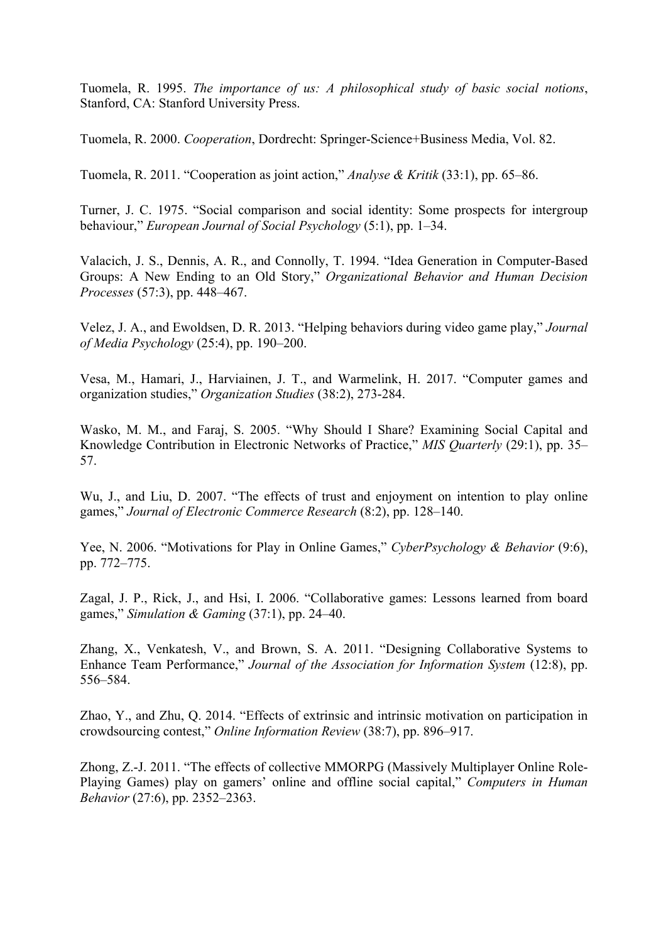Tuomela, R. 1995. *The importance of us: A philosophical study of basic social notions*, Stanford, CA: Stanford University Press.

Tuomela, R. 2000. *Cooperation*, Dordrecht: Springer-Science+Business Media, Vol. 82.

Tuomela, R. 2011. "Cooperation as joint action," *Analyse & Kritik* (33:1), pp. 65–86.

Turner, J. C. 1975. "Social comparison and social identity: Some prospects for intergroup behaviour," *European Journal of Social Psychology* (5:1), pp. 1–34.

Valacich, J. S., Dennis, A. R., and Connolly, T. 1994. "Idea Generation in Computer-Based Groups: A New Ending to an Old Story," *Organizational Behavior and Human Decision Processes* (57:3), pp. 448–467.

Velez, J. A., and Ewoldsen, D. R. 2013. "Helping behaviors during video game play," *Journal of Media Psychology* (25:4), pp. 190–200.

Vesa, M., Hamari, J., Harviainen, J. T., and Warmelink, H. 2017. "Computer games and organization studies," *Organization Studies* (38:2), 273-284.

Wasko, M. M., and Faraj, S. 2005. "Why Should I Share? Examining Social Capital and Knowledge Contribution in Electronic Networks of Practice," *MIS Quarterly* (29:1), pp. 35– 57.

Wu, J., and Liu, D. 2007. "The effects of trust and enjoyment on intention to play online games," *Journal of Electronic Commerce Research* (8:2), pp. 128–140.

Yee, N. 2006. "Motivations for Play in Online Games," *CyberPsychology & Behavior* (9:6), pp. 772–775.

Zagal, J. P., Rick, J., and Hsi, I. 2006. "Collaborative games: Lessons learned from board games," *Simulation & Gaming* (37:1), pp. 24–40.

Zhang, X., Venkatesh, V., and Brown, S. A. 2011. "Designing Collaborative Systems to Enhance Team Performance," *Journal of the Association for Information System* (12:8), pp. 556–584.

Zhao, Y., and Zhu, Q. 2014. "Effects of extrinsic and intrinsic motivation on participation in crowdsourcing contest," *Online Information Review* (38:7), pp. 896–917.

Zhong, Z.-J. 2011. "The effects of collective MMORPG (Massively Multiplayer Online Role-Playing Games) play on gamers' online and offline social capital," *Computers in Human Behavior* (27:6), pp. 2352–2363.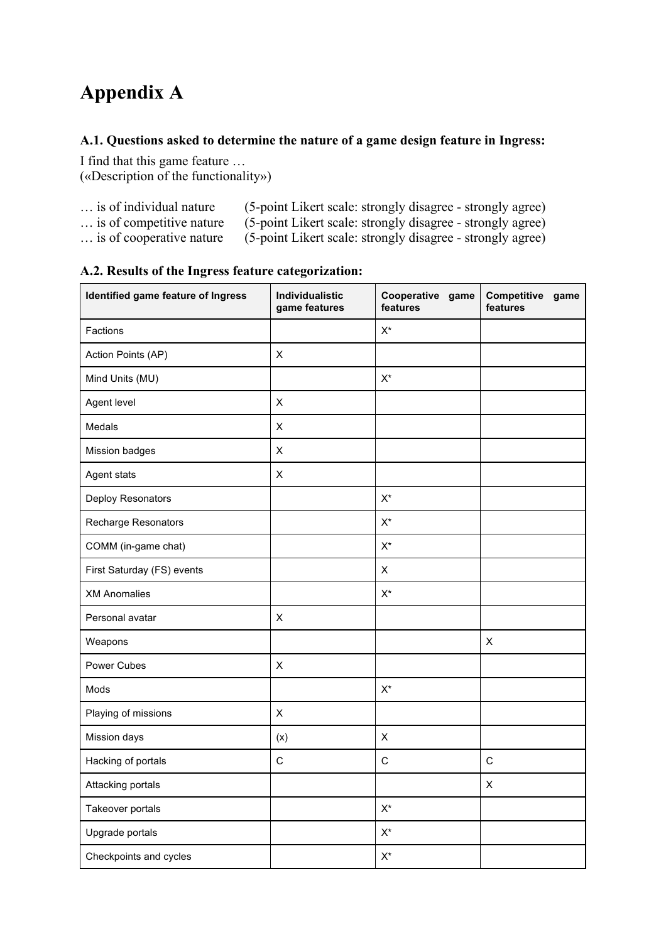# **Appendix A**

#### **A.1. Questions asked to determine the nature of a game design feature in Ingress:**

I find that this game feature … («Description of the functionality»)

| is of individual nature | (5-point Likert scale: strongly disagree - strongly agree) |  |  |
|-------------------------|------------------------------------------------------------|--|--|
|-------------------------|------------------------------------------------------------|--|--|

- … is of competitive nature (5-point Likert scale: strongly disagree strongly agree)<br>… is of cooperative nature (5-point Likert scale: strongly disagree strongly agree)
	- $(5$ -point Likert scale: strongly disagree strongly agree)

| Identified game feature of Ingress | Individualistic<br>game features | Cooperative<br>game<br>features | Competitive<br>game<br>features |
|------------------------------------|----------------------------------|---------------------------------|---------------------------------|
| Factions                           |                                  | $\mathsf{X}^\star$              |                                 |
| Action Points (AP)                 | X                                |                                 |                                 |
| Mind Units (MU)                    |                                  | $\mathsf{X}^\star$              |                                 |
| Agent level                        | $\pmb{\times}$                   |                                 |                                 |
| Medals                             | X                                |                                 |                                 |
| Mission badges                     | X                                |                                 |                                 |
| Agent stats                        | X                                |                                 |                                 |
| Deploy Resonators                  |                                  | $\mathsf{X}^\star$              |                                 |
| Recharge Resonators                |                                  | $X^*$                           |                                 |
| COMM (in-game chat)                |                                  | $X^*$                           |                                 |
| First Saturday (FS) events         |                                  | X                               |                                 |
| <b>XM Anomalies</b>                |                                  | $X^*$                           |                                 |
| Personal avatar                    | $\pmb{\times}$                   |                                 |                                 |
| Weapons                            |                                  |                                 | $\pmb{\times}$                  |
| Power Cubes                        | X                                |                                 |                                 |
| Mods                               |                                  | $X^*$                           |                                 |
| Playing of missions                | X                                |                                 |                                 |
| Mission days                       | (x)                              | $\mathsf X$                     |                                 |
| Hacking of portals                 | $\mathsf{C}$                     | $\mathsf{C}$                    | $\mathsf C$                     |
| Attacking portals                  |                                  |                                 | X                               |
| Takeover portals                   |                                  | $\mathsf{X}^\star$              |                                 |
| Upgrade portals                    |                                  | $\mathsf{X}^\star$              |                                 |
| Checkpoints and cycles             |                                  | $\mathsf{X}^\star$              |                                 |

#### **A.2. Results of the Ingress feature categorization:**